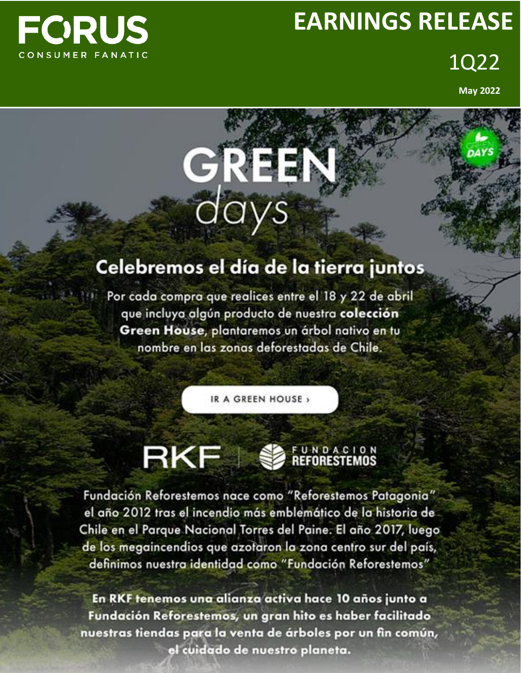# **FCRUS** CONSUMER FANATIC

# **EARNINGS RELEASE**

1Q22

**May 2022**

# Celebremos el día de la tierra juntos

**GREEN**<br>days

Por cada compra que realices entre el 18 y 22 de abril que incluya algún producto de nuestra colección Green House, plantaremos un árbol nativo en tu nombre en las zonas deforestadas de Chile.

IR A GREEN HOUSE,

# **RKF SEFORESTEMOS**

Fundación Reforestemos nace como "Reforestemos Patagonia" el año 2012 tras el incendio más emblemático de la historia de Chile en el Parque Nacional Torres del Paine. El año 2017, luego de los megaincendios que azotaron la zona centro sur del país, definimos nuestra identidad como "Fundación Reforestemos"

En RKF tenemos una alianza activa hace 10 años junto a Fundación Reforestemos, un gran hito es haber facilitado nuestras tiendas para la venta de árboles por un fin común, el cuidado de nuestro planeta.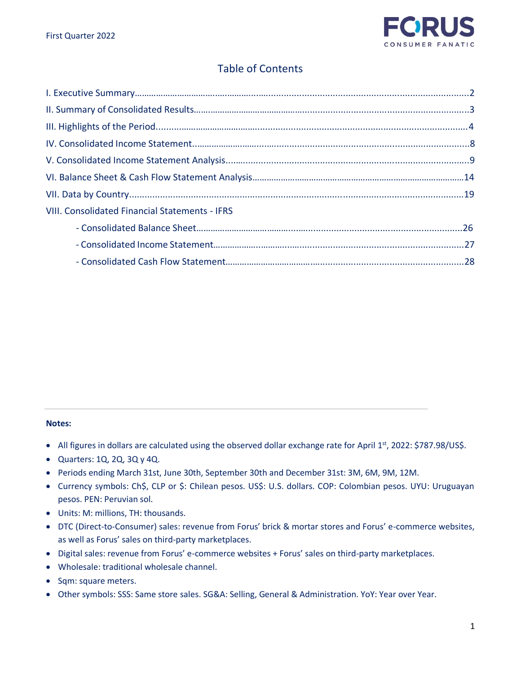

# Table of Contents

| <b>VIII. Consolidated Financial Statements - IFRS</b> |  |
|-------------------------------------------------------|--|
|                                                       |  |
|                                                       |  |
|                                                       |  |

#### **Notes:**

- All figures in dollars are calculated using the observed dollar exchange rate for April 1<sup>st</sup>, 2022: \$787.98/US\$.
- Quarters: 1Q, 2Q, 3Q y 4Q.
- Periods ending March 31st, June 30th, September 30th and December 31st: 3M, 6M, 9M, 12M.
- Currency symbols: Ch\$, CLP or \$: Chilean pesos. US\$: U.S. dollars. COP: Colombian pesos. UYU: Uruguayan pesos. PEN: Peruvian sol.
- Units: M: millions, TH: thousands.
- DTC (Direct-to-Consumer) sales: revenue from Forus' brick & mortar stores and Forus' e-commerce websites, as well as Forus' sales on third-party marketplaces.
- Digital sales: revenue from Forus' e-commerce websites + Forus' sales on third-party marketplaces.
- Wholesale: traditional wholesale channel.
- Sqm: square meters.
- Other symbols: SSS: Same store sales. SG&A: Selling, General & Administration. YoY: Year over Year.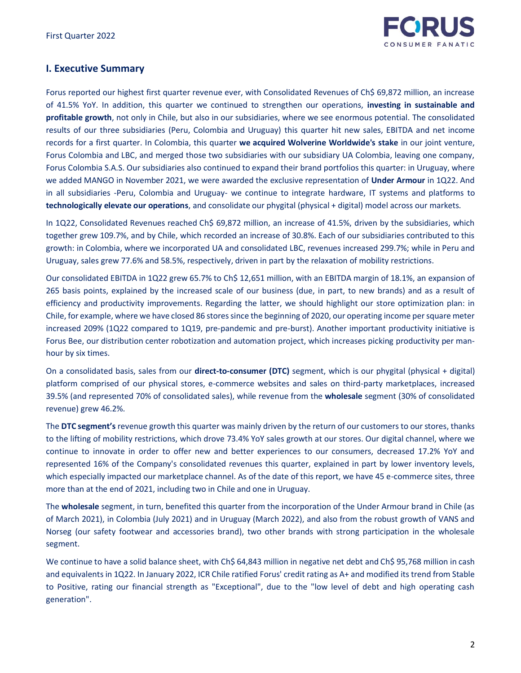

# **I. Executive Summary**

Forus reported our highest first quarter revenue ever, with Consolidated Revenues of Ch\$ 69,872 million, an increase of 41.5% YoY. In addition, this quarter we continued to strengthen our operations, **investing in sustainable and profitable growth**, not only in Chile, but also in our subsidiaries, where we see enormous potential. The consolidated results of our three subsidiaries (Peru, Colombia and Uruguay) this quarter hit new sales, EBITDA and net income records for a first quarter. In Colombia, this quarter **we acquired Wolverine Worldwide's stake** in our joint venture, Forus Colombia and LBC, and merged those two subsidiaries with our subsidiary UA Colombia, leaving one company, Forus Colombia S.A.S. Our subsidiaries also continued to expand their brand portfolios this quarter: in Uruguay, where we added MANGO in November 2021, we were awarded the exclusive representation of **Under Armour** in 1Q22. And in all subsidiaries -Peru, Colombia and Uruguay- we continue to integrate hardware, IT systems and platforms to **technologically elevate our operations**, and consolidate our phygital (physical + digital) model across our markets.

In 1Q22, Consolidated Revenues reached Ch\$ 69,872 million, an increase of 41.5%, driven by the subsidiaries, which together grew 109.7%, and by Chile, which recorded an increase of 30.8%. Each of our subsidiaries contributed to this growth: in Colombia, where we incorporated UA and consolidated LBC, revenues increased 299.7%; while in Peru and Uruguay, sales grew 77.6% and 58.5%, respectively, driven in part by the relaxation of mobility restrictions.

Our consolidated EBITDA in 1Q22 grew 65.7% to Ch\$ 12,651 million, with an EBITDA margin of 18.1%, an expansion of 265 basis points, explained by the increased scale of our business (due, in part, to new brands) and as a result of efficiency and productivity improvements. Regarding the latter, we should highlight our store optimization plan: in Chile, for example, where we have closed 86 stores since the beginning of 2020, our operating income per square meter increased 209% (1Q22 compared to 1Q19, pre-pandemic and pre-burst). Another important productivity initiative is Forus Bee, our distribution center robotization and automation project, which increases picking productivity per manhour by six times.

On a consolidated basis, sales from our **direct-to-consumer (DTC)** segment, which is our phygital (physical + digital) platform comprised of our physical stores, e-commerce websites and sales on third-party marketplaces, increased 39.5% (and represented 70% of consolidated sales), while revenue from the **wholesale** segment (30% of consolidated revenue) grew 46.2%.

The **DTC segment's** revenue growth this quarter was mainly driven by the return of our customers to our stores, thanks to the lifting of mobility restrictions, which drove 73.4% YoY sales growth at our stores. Our digital channel, where we continue to innovate in order to offer new and better experiences to our consumers, decreased 17.2% YoY and represented 16% of the Company's consolidated revenues this quarter, explained in part by lower inventory levels, which especially impacted our marketplace channel. As of the date of this report, we have 45 e-commerce sites, three more than at the end of 2021, including two in Chile and one in Uruguay.

The **wholesale** segment, in turn, benefited this quarter from the incorporation of the Under Armour brand in Chile (as of March 2021), in Colombia (July 2021) and in Uruguay (March 2022), and also from the robust growth of VANS and Norseg (our safety footwear and accessories brand), two other brands with strong participation in the wholesale segment.

We continue to have a solid balance sheet, with Ch\$ 64,843 million in negative net debt and Ch\$ 95,768 million in cash and equivalents in 1Q22. In January 2022, ICR Chile ratified Forus' credit rating as A+ and modified its trend from Stable to Positive, rating our financial strength as "Exceptional", due to the "low level of debt and high operating cash generation".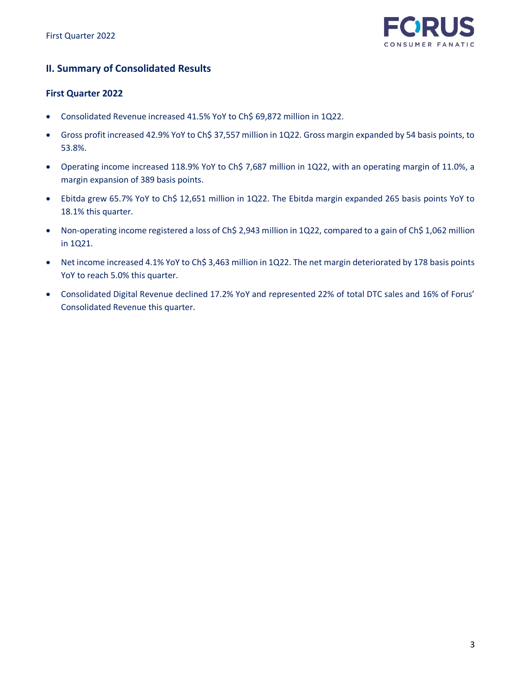

# **II. Summary of Consolidated Results**

## **First Quarter 2022**

- Consolidated Revenue increased 41.5% YoY to Ch\$ 69,872 million in 1Q22.
- Gross profit increased 42.9% YoY to Ch\$ 37,557 million in 1Q22. Gross margin expanded by 54 basis points, to 53.8%.
- Operating income increased 118.9% YoY to Ch\$ 7,687 million in 1Q22, with an operating margin of 11.0%, a margin expansion of 389 basis points.
- Ebitda grew 65.7% YoY to Ch\$ 12,651 million in 1Q22. The Ebitda margin expanded 265 basis points YoY to 18.1% this quarter.
- Non-operating income registered a loss of Ch\$ 2,943 million in 1Q22, compared to a gain of Ch\$ 1,062 million in 1Q21.
- Net income increased 4.1% YoY to Ch\$ 3,463 million in 1Q22. The net margin deteriorated by 178 basis points YoY to reach 5.0% this quarter.
- Consolidated Digital Revenue declined 17.2% YoY and represented 22% of total DTC sales and 16% of Forus' Consolidated Revenue this quarter.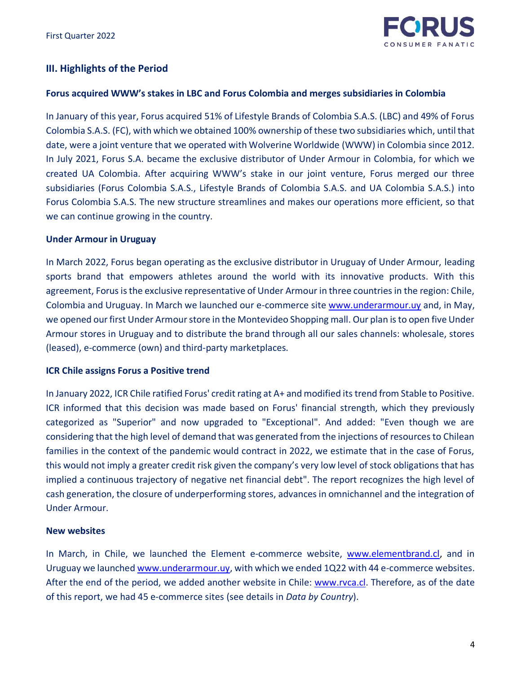

# **III. Highlights of the Period**

# **Forus acquired WWW's stakes in LBC and Forus Colombia and merges subsidiaries in Colombia**

In January of this year, Forus acquired 51% of Lifestyle Brands of Colombia S.A.S. (LBC) and 49% of Forus Colombia S.A.S. (FC), with which we obtained 100% ownership of these two subsidiaries which, until that date, were a joint venture that we operated with Wolverine Worldwide (WWW) in Colombia since 2012. In July 2021, Forus S.A. became the exclusive distributor of Under Armour in Colombia, for which we created UA Colombia. After acquiring WWW's stake in our joint venture, Forus merged our three subsidiaries (Forus Colombia S.A.S., Lifestyle Brands of Colombia S.A.S. and UA Colombia S.A.S.) into Forus Colombia S.A.S. The new structure streamlines and makes our operations more efficient, so that we can continue growing in the country.

## **Under Armour in Uruguay**

In March 2022, Forus began operating as the exclusive distributor in Uruguay of Under Armour, leading sports brand that empowers athletes around the world with its innovative products. With this agreement, Forus is the exclusive representative of Under Armour in three countries in the region: Chile, Colombia and Uruguay. In March we launched our e-commerce site [www.underarmour.uy](http://www.underarmour.uy/) and, in May, we opened our first Under Armour store in the Montevideo Shopping mall. Our plan is to open five Under Armour stores in Uruguay and to distribute the brand through all our sales channels: wholesale, stores (leased), e-commerce (own) and third-party marketplaces.

#### **ICR Chile assigns Forus a Positive trend**

In January 2022, ICR Chile ratified Forus' credit rating at A+ and modified its trend from Stable to Positive. ICR informed that this decision was made based on Forus' financial strength, which they previously categorized as "Superior" and now upgraded to "Exceptional". And added: "Even though we are considering that the high level of demand that was generated from the injections of resources to Chilean families in the context of the pandemic would contract in 2022, we estimate that in the case of Forus, this would not imply a greater credit risk given the company's very low level of stock obligations that has implied a continuous trajectory of negative net financial debt". The report recognizes the high level of cash generation, the closure of underperforming stores, advances in omnichannel and the integration of Under Armour.

# **New websites**

In March, in Chile, we launched the Element e-commerce website, [www.elementbrand.cl,](http://www.elementbrand.cl/) and in Uruguay we launche[d www.underarmour.uy,](http://www.underarmour.uy/) with which we ended 1Q22 with 44 e-commerce websites. After the end of the period, we added another website in Chile: [www.rvca.cl.](http://www.rvca.cl/) Therefore, as of the date of this report, we had 45 e-commerce sites (see details in *Data by Country*).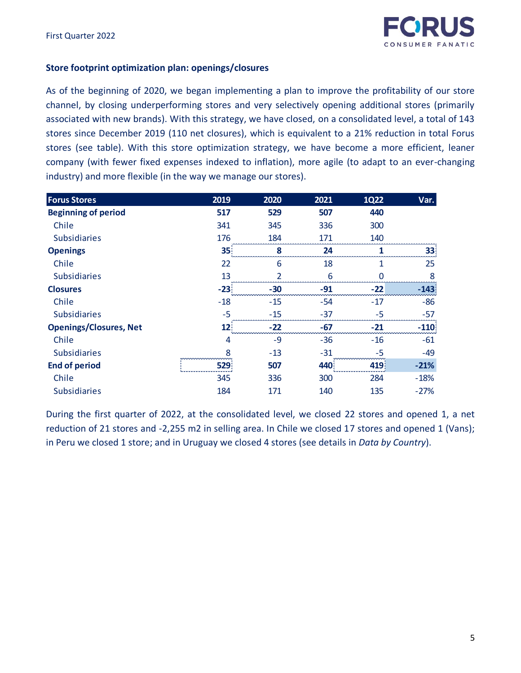# **Store footprint optimization plan: openings/closures**

As of the beginning of 2020, we began implementing a plan to improve the profitability of our store channel, by closing underperforming stores and very selectively opening additional stores (primarily associated with new brands). With this strategy, we have closed, on a consolidated level, a total of 143 stores since December 2019 (110 net closures), which is equivalent to a 21% reduction in total Forus stores (see table). With this store optimization strategy, we have become a more efficient, leaner company (with fewer fixed expenses indexed to inflation), more agile (to adapt to an ever-changing industry) and more flexible (in the way we manage our stores).

| <b>Forus Stores</b>           | 2019  | 2020           | 2021  | <b>1Q22</b> | Var.   |
|-------------------------------|-------|----------------|-------|-------------|--------|
| <b>Beginning of period</b>    | 517   | 529            | 507   | 440         |        |
| Chile                         | 341   | 345            | 336   | 300         |        |
| <b>Subsidiaries</b>           | 176   | 184            | 171   | 140         |        |
| <b>Openings</b>               | 35    | 8              | 24    |             | 33     |
| Chile                         | 22    | 6              | 18    | 1           | 25     |
| <b>Subsidiaries</b>           | 13    | $\overline{2}$ | 6     | $\Omega$    | 8      |
| <b>Closures</b>               | $-23$ | $-30$          | $-91$ | $-22$       | $-143$ |
| Chile                         | $-18$ | $-15$          | $-54$ | $-17$       | -86    |
| <b>Subsidiaries</b>           | $-5$  | $-15$          | $-37$ | $-5$        | $-57$  |
| <b>Openings/Closures, Net</b> | 12    | $-22$          | $-67$ | $-21$       | $-110$ |
| Chile                         | 4     | $-9$           | $-36$ | $-16$       | $-61$  |
| <b>Subsidiaries</b>           | 8     | $-13$          | $-31$ | -5          | -49    |
| <b>End of period</b>          | 529   | 507            | 440   | 419         | $-21%$ |
| Chile                         | 345   | 336            | 300   | 284         | $-18%$ |
| <b>Subsidiaries</b>           | 184   | 171            | 140   | 135         | $-27%$ |

During the first quarter of 2022, at the consolidated level, we closed 22 stores and opened 1, a net reduction of 21 stores and -2,255 m2 in selling area. In Chile we closed 17 stores and opened 1 (Vans); in Peru we closed 1 store; and in Uruguay we closed 4 stores (see details in *Data by Country*).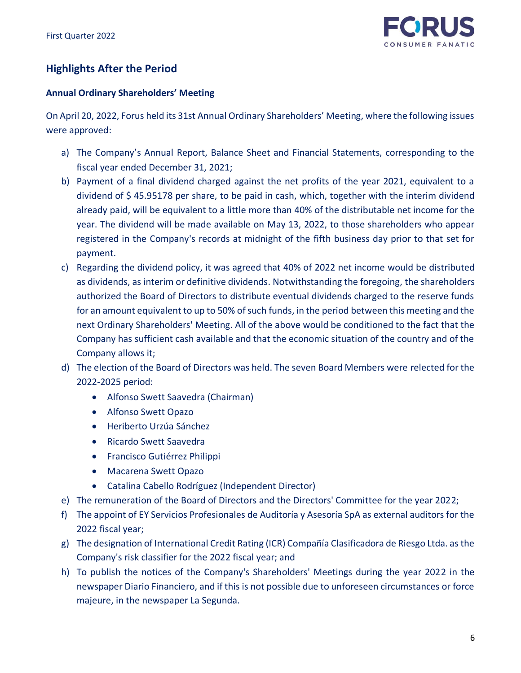

# **Highlights After the Period**

# **Annual Ordinary Shareholders' Meeting**

On April 20, 2022, Forus held its 31st Annual Ordinary Shareholders' Meeting, where the following issues were approved:

- a) The Company's Annual Report, Balance Sheet and Financial Statements, corresponding to the fiscal year ended December 31, 2021;
- b) Payment of a final dividend charged against the net profits of the year 2021, equivalent to a dividend of \$ 45.95178 per share, to be paid in cash, which, together with the interim dividend already paid, will be equivalent to a little more than 40% of the distributable net income for the year. The dividend will be made available on May 13, 2022, to those shareholders who appear registered in the Company's records at midnight of the fifth business day prior to that set for payment.
- c) Regarding the dividend policy, it was agreed that 40% of 2022 net income would be distributed as dividends, as interim or definitive dividends. Notwithstanding the foregoing, the shareholders authorized the Board of Directors to distribute eventual dividends charged to the reserve funds for an amount equivalent to up to 50% of such funds, in the period between this meeting and the next Ordinary Shareholders' Meeting. All of the above would be conditioned to the fact that the Company has sufficient cash available and that the economic situation of the country and of the Company allows it;
- d) The election of the Board of Directors was held. The seven Board Members were relected for the 2022-2025 period:
	- Alfonso Swett Saavedra (Chairman)
	- Alfonso Swett Opazo
	- Heriberto Urzúa Sánchez
	- Ricardo Swett Saavedra
	- Francisco Gutiérrez Philippi
	- Macarena Swett Opazo
	- Catalina Cabello Rodríguez (Independent Director)
- e) The remuneration of the Board of Directors and the Directors' Committee for the year 2022;
- f) The appoint of EY Servicios Profesionales de Auditoría y Asesoría SpA as external auditors for the 2022 fiscal year;
- g) The designation of International Credit Rating (ICR) Compañía Clasificadora de Riesgo Ltda. as the Company's risk classifier for the 2022 fiscal year; and
- h) To publish the notices of the Company's Shareholders' Meetings during the year 2022 in the newspaper Diario Financiero, and if this is not possible due to unforeseen circumstances or force majeure, in the newspaper La Segunda.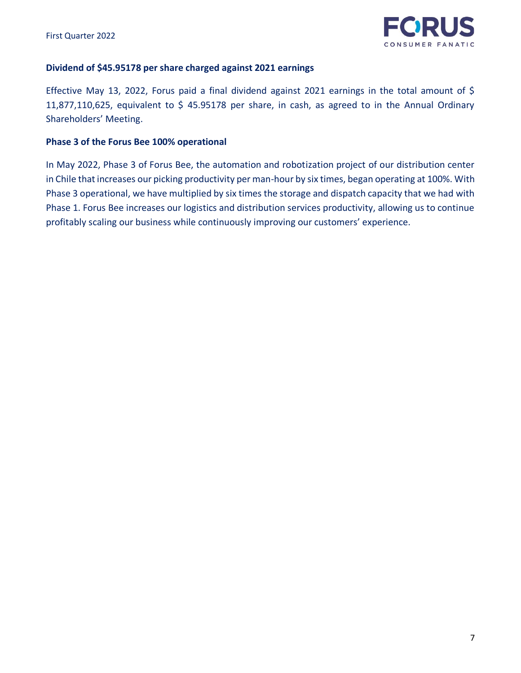

# **Dividend of \$45.95178 per share charged against 2021 earnings**

Effective May 13, 2022, Forus paid a final dividend against 2021 earnings in the total amount of \$ 11,877,110,625, equivalent to \$ 45.95178 per share, in cash, as agreed to in the Annual Ordinary Shareholders' Meeting.

## **Phase 3 of the Forus Bee 100% operational**

In May 2022, Phase 3 of Forus Bee, the automation and robotization project of our distribution center in Chile that increases our picking productivity per man-hour by six times, began operating at 100%. With Phase 3 operational, we have multiplied by six times the storage and dispatch capacity that we had with Phase 1. Forus Bee increases our logistics and distribution services productivity, allowing us to continue profitably scaling our business while continuously improving our customers' experience.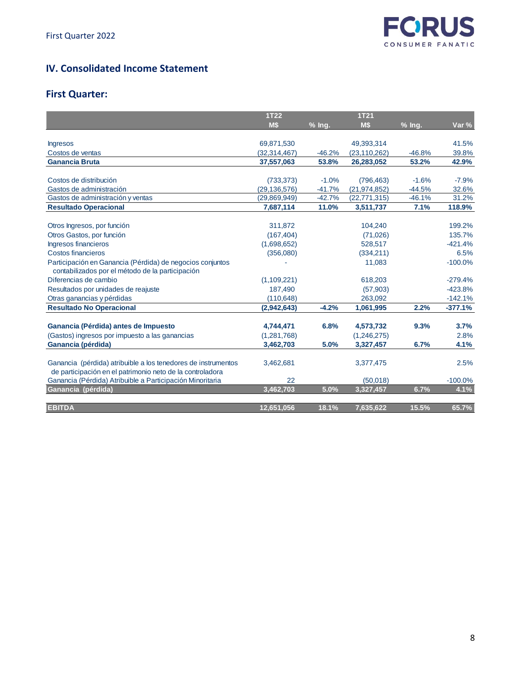

# **IV. Consolidated Income Statement**

# **First Quarter:**

|                                                               | <b>1T22</b>    |          | <b>1T21</b>    |          |           |
|---------------------------------------------------------------|----------------|----------|----------------|----------|-----------|
|                                                               | M\$            | % Ing.   | M\$            | % Ing.   | Var %     |
|                                                               |                |          |                |          |           |
| <b>Ingresos</b>                                               | 69,871,530     |          | 49,393,314     |          | 41.5%     |
| Costos de ventas                                              | (32, 314, 467) | $-46.2%$ | (23, 110, 262) | $-46.8%$ | 39.8%     |
| <b>Ganancia Bruta</b>                                         | 37,557,063     | 53.8%    | 26,283,052     | 53.2%    | 42.9%     |
|                                                               |                |          |                |          |           |
| Costos de distribución                                        | (733, 373)     | $-1.0%$  | (796, 463)     | $-1.6%$  | $-7.9%$   |
| Gastos de administración                                      | (29, 136, 576) | $-41.7%$ | (21, 974, 852) | $-44.5%$ | 32.6%     |
| Gastos de administración y ventas                             | (29,869,949)   | $-42.7%$ | (22, 771, 315) | $-46.1%$ | 31.2%     |
| <b>Resultado Operacional</b>                                  | 7,687,114      | 11.0%    | 3,511,737      | 7.1%     | 118.9%    |
|                                                               |                |          |                |          |           |
| Otros Ingresos, por función                                   | 311,872        |          | 104,240        |          | 199.2%    |
| Otros Gastos, por función                                     | (167, 404)     |          | (71,026)       |          | 135.7%    |
| Ingresos financieros                                          | (1,698,652)    |          | 528,517        |          | $-421.4%$ |
| Costos financieros                                            | (356,080)      |          | (334, 211)     |          | 6.5%      |
| Participación en Ganancia (Pérdida) de negocios conjuntos     |                |          | 11,083         |          | $-100.0%$ |
| contabilizados por el método de la participación              |                |          |                |          |           |
| Diferencias de cambio                                         | (1,109,221)    |          | 618,203        |          | $-279.4%$ |
| Resultados por unidades de reajuste                           | 187,490        |          | (57,903)       |          | $-423.8%$ |
| Otras ganancias y pérdidas                                    | (110, 648)     |          | 263,092        |          | $-142.1%$ |
| <b>Resultado No Operacional</b>                               | (2,942,643)    | $-4.2%$  | 1,061,995      | 2.2%     | $-377.1%$ |
|                                                               |                |          |                |          |           |
| Ganancia (Pérdida) antes de Impuesto                          | 4,744,471      | 6.8%     | 4,573,732      | 9.3%     | 3.7%      |
| (Gastos) ingresos por impuesto a las ganancias                | (1,281,768)    |          | (1,246,275)    |          | 2.8%      |
| Ganancia (pérdida)                                            | 3,462,703      | 5.0%     | 3,327,457      | 6.7%     | 4.1%      |
|                                                               |                |          |                |          |           |
| Ganancia (pérdida) atribuible a los tenedores de instrumentos | 3,462,681      |          | 3,377,475      |          | 2.5%      |
| de participación en el patrimonio neto de la controladora     |                |          |                |          |           |
| Ganancia (Pérdida) Atribuible a Participación Minoritaria     | 22             |          | (50,018)       |          | $-100.0%$ |
| Ganancia (pérdida)                                            | 3,462,703      | 5.0%     | 3,327,457      | 6.7%     | 4.1%      |
|                                                               |                |          |                |          |           |
| <b>EBITDA</b>                                                 | 12,651,056     | 18.1%    | 7,635,622      | 15.5%    | 65.7%     |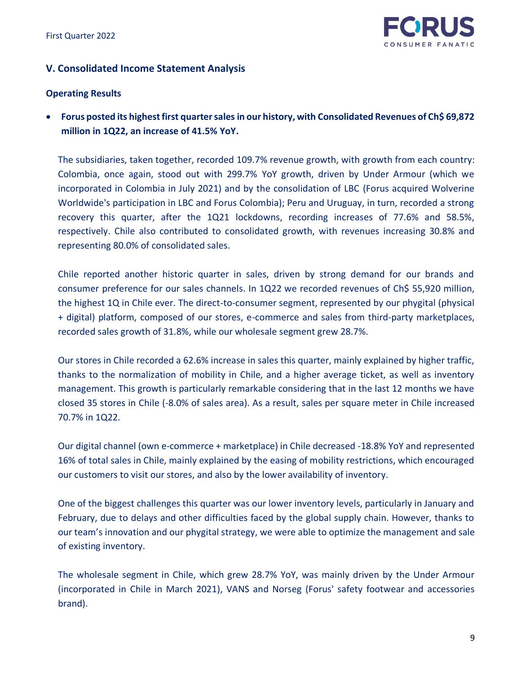

# **V. Consolidated Income Statement Analysis**

# **Operating Results**

• **Forus posted its highest first quarter sales in our history, with Consolidated Revenues of Ch\$ 69,872 million in 1Q22, an increase of 41.5% YoY.**

The subsidiaries, taken together, recorded 109.7% revenue growth, with growth from each country: Colombia, once again, stood out with 299.7% YoY growth, driven by Under Armour (which we incorporated in Colombia in July 2021) and by the consolidation of LBC (Forus acquired Wolverine Worldwide's participation in LBC and Forus Colombia); Peru and Uruguay, in turn, recorded a strong recovery this quarter, after the 1Q21 lockdowns, recording increases of 77.6% and 58.5%, respectively. Chile also contributed to consolidated growth, with revenues increasing 30.8% and representing 80.0% of consolidated sales.

Chile reported another historic quarter in sales, driven by strong demand for our brands and consumer preference for our sales channels. In 1Q22 we recorded revenues of Ch\$ 55,920 million, the highest 1Q in Chile ever. The direct-to-consumer segment, represented by our phygital (physical + digital) platform, composed of our stores, e-commerce and sales from third-party marketplaces, recorded sales growth of 31.8%, while our wholesale segment grew 28.7%.

Our stores in Chile recorded a 62.6% increase in sales this quarter, mainly explained by higher traffic, thanks to the normalization of mobility in Chile, and a higher average ticket, as well as inventory management. This growth is particularly remarkable considering that in the last 12 months we have closed 35 stores in Chile (-8.0% of sales area). As a result, sales per square meter in Chile increased 70.7% in 1Q22.

Our digital channel (own e-commerce + marketplace) in Chile decreased -18.8% YoY and represented 16% of total sales in Chile, mainly explained by the easing of mobility restrictions, which encouraged our customers to visit our stores, and also by the lower availability of inventory.

One of the biggest challenges this quarter was our lower inventory levels, particularly in January and February, due to delays and other difficulties faced by the global supply chain. However, thanks to our team's innovation and our phygital strategy, we were able to optimize the management and sale of existing inventory.

The wholesale segment in Chile, which grew 28.7% YoY, was mainly driven by the Under Armour (incorporated in Chile in March 2021), VANS and Norseg (Forus' safety footwear and accessories brand).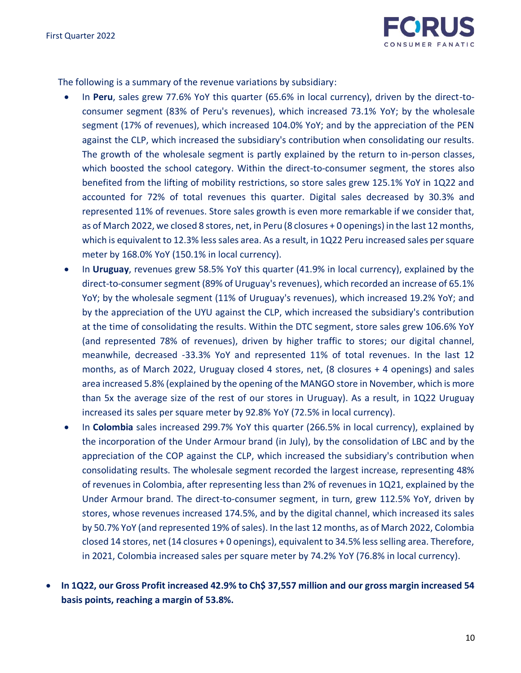

The following is a summary of the revenue variations by subsidiary:

- In **Peru**, sales grew 77.6% YoY this quarter (65.6% in local currency), driven by the direct-toconsumer segment (83% of Peru's revenues), which increased 73.1% YoY; by the wholesale segment (17% of revenues), which increased 104.0% YoY; and by the appreciation of the PEN against the CLP, which increased the subsidiary's contribution when consolidating our results. The growth of the wholesale segment is partly explained by the return to in-person classes, which boosted the school category. Within the direct-to-consumer segment, the stores also benefited from the lifting of mobility restrictions, so store sales grew 125.1% YoY in 1Q22 and accounted for 72% of total revenues this quarter. Digital sales decreased by 30.3% and represented 11% of revenues. Store sales growth is even more remarkable if we consider that, as of March 2022, we closed 8 stores, net, in Peru (8 closures + 0 openings) in the last 12 months, which is equivalent to 12.3% less sales area. As a result, in 1Q22 Peru increased sales per square meter by 168.0% YoY (150.1% in local currency).
- In **Uruguay**, revenues grew 58.5% YoY this quarter (41.9% in local currency), explained by the direct-to-consumer segment (89% of Uruguay's revenues), which recorded an increase of 65.1% YoY; by the wholesale segment (11% of Uruguay's revenues), which increased 19.2% YoY; and by the appreciation of the UYU against the CLP, which increased the subsidiary's contribution at the time of consolidating the results. Within the DTC segment, store sales grew 106.6% YoY (and represented 78% of revenues), driven by higher traffic to stores; our digital channel, meanwhile, decreased -33.3% YoY and represented 11% of total revenues. In the last 12 months, as of March 2022, Uruguay closed 4 stores, net, (8 closures + 4 openings) and sales area increased 5.8% (explained by the opening of the MANGO store in November, which is more than 5x the average size of the rest of our stores in Uruguay). As a result, in 1Q22 Uruguay increased its sales per square meter by 92.8% YoY (72.5% in local currency).
- In **Colombia** sales increased 299.7% YoY this quarter (266.5% in local currency), explained by the incorporation of the Under Armour brand (in July), by the consolidation of LBC and by the appreciation of the COP against the CLP, which increased the subsidiary's contribution when consolidating results. The wholesale segment recorded the largest increase, representing 48% of revenues in Colombia, after representing less than 2% of revenues in 1Q21, explained by the Under Armour brand. The direct-to-consumer segment, in turn, grew 112.5% YoY, driven by stores, whose revenues increased 174.5%, and by the digital channel, which increased its sales by 50.7% YoY (and represented 19% of sales). In the last 12 months, as of March 2022, Colombia closed 14 stores, net (14 closures + 0 openings), equivalent to 34.5% less selling area. Therefore, in 2021, Colombia increased sales per square meter by 74.2% YoY (76.8% in local currency).
- **In 1Q22, our Gross Profit increased 42.9% to Ch\$ 37,557 million and our gross margin increased 54 basis points, reaching a margin of 53.8%.**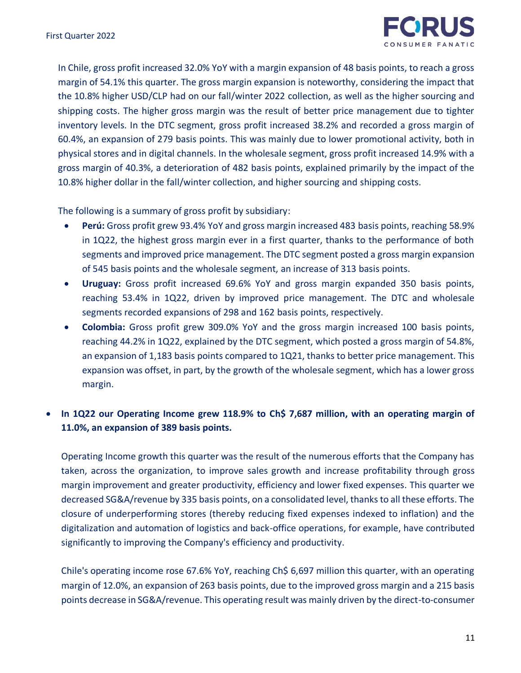

In Chile, gross profit increased 32.0% YoY with a margin expansion of 48 basis points, to reach a gross margin of 54.1% this quarter. The gross margin expansion is noteworthy, considering the impact that the 10.8% higher USD/CLP had on our fall/winter 2022 collection, as well as the higher sourcing and shipping costs. The higher gross margin was the result of better price management due to tighter inventory levels. In the DTC segment, gross profit increased 38.2% and recorded a gross margin of 60.4%, an expansion of 279 basis points. This was mainly due to lower promotional activity, both in physical stores and in digital channels. In the wholesale segment, gross profit increased 14.9% with a gross margin of 40.3%, a deterioration of 482 basis points, explained primarily by the impact of the 10.8% higher dollar in the fall/winter collection, and higher sourcing and shipping costs.

The following is a summary of gross profit by subsidiary:

- **Perú:** Gross profit grew 93.4% YoY and gross margin increased 483 basis points, reaching 58.9% in 1Q22, the highest gross margin ever in a first quarter, thanks to the performance of both segments and improved price management. The DTC segment posted a gross margin expansion of 545 basis points and the wholesale segment, an increase of 313 basis points.
- **Uruguay:** Gross profit increased 69.6% YoY and gross margin expanded 350 basis points, reaching 53.4% in 1Q22, driven by improved price management. The DTC and wholesale segments recorded expansions of 298 and 162 basis points, respectively.
- **Colombia:** Gross profit grew 309.0% YoY and the gross margin increased 100 basis points, reaching 44.2% in 1Q22, explained by the DTC segment, which posted a gross margin of 54.8%, an expansion of 1,183 basis points compared to 1Q21, thanks to better price management. This expansion was offset, in part, by the growth of the wholesale segment, which has a lower gross margin.

# • **In 1Q22 our Operating Income grew 118.9% to Ch\$ 7,687 million, with an operating margin of 11.0%, an expansion of 389 basis points.**

Operating Income growth this quarter was the result of the numerous efforts that the Company has taken, across the organization, to improve sales growth and increase profitability through gross margin improvement and greater productivity, efficiency and lower fixed expenses. This quarter we decreased SG&A/revenue by 335 basis points, on a consolidated level, thanks to all these efforts. The closure of underperforming stores (thereby reducing fixed expenses indexed to inflation) and the digitalization and automation of logistics and back-office operations, for example, have contributed significantly to improving the Company's efficiency and productivity.

Chile's operating income rose 67.6% YoY, reaching Ch\$ 6,697 million this quarter, with an operating margin of 12.0%, an expansion of 263 basis points, due to the improved gross margin and a 215 basis points decrease in SG&A/revenue. This operating result was mainly driven by the direct-to-consumer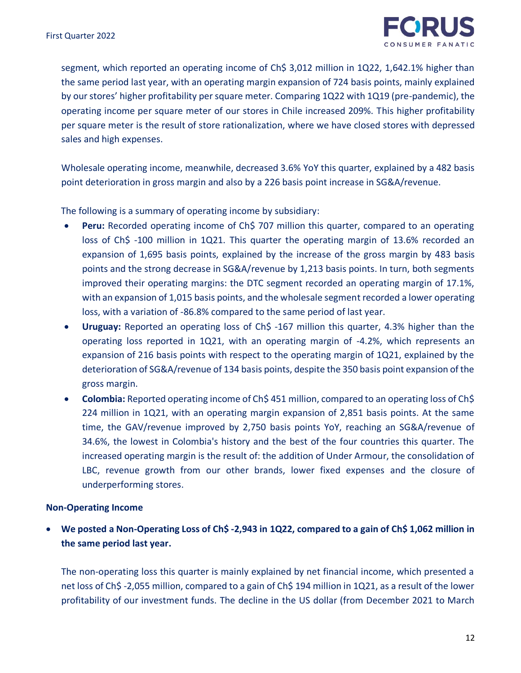

segment, which reported an operating income of Ch\$ 3,012 million in 1Q22, 1,642.1% higher than the same period last year, with an operating margin expansion of 724 basis points, mainly explained by our stores' higher profitability per square meter. Comparing 1Q22 with 1Q19 (pre-pandemic), the operating income per square meter of our stores in Chile increased 209%. This higher profitability per square meter is the result of store rationalization, where we have closed stores with depressed sales and high expenses.

Wholesale operating income, meanwhile, decreased 3.6% YoY this quarter, explained by a 482 basis point deterioration in gross margin and also by a 226 basis point increase in SG&A/revenue.

The following is a summary of operating income by subsidiary:

- **Peru:** Recorded operating income of Ch\$ 707 million this quarter, compared to an operating loss of Ch\$ -100 million in 1Q21. This quarter the operating margin of 13.6% recorded an expansion of 1,695 basis points, explained by the increase of the gross margin by 483 basis points and the strong decrease in SG&A/revenue by 1,213 basis points. In turn, both segments improved their operating margins: the DTC segment recorded an operating margin of 17.1%, with an expansion of 1,015 basis points, and the wholesale segment recorded a lower operating loss, with a variation of -86.8% compared to the same period of last year.
- **Uruguay:** Reported an operating loss of Ch\$ -167 million this quarter, 4.3% higher than the operating loss reported in 1Q21, with an operating margin of -4.2%, which represents an expansion of 216 basis points with respect to the operating margin of 1Q21, explained by the deterioration of SG&A/revenue of 134 basis points, despite the 350 basis point expansion of the gross margin.
- **Colombia:** Reported operating income of Ch\$ 451 million, compared to an operating loss of Ch\$ 224 million in 1Q21, with an operating margin expansion of 2,851 basis points. At the same time, the GAV/revenue improved by 2,750 basis points YoY, reaching an SG&A/revenue of 34.6%, the lowest in Colombia's history and the best of the four countries this quarter. The increased operating margin is the result of: the addition of Under Armour, the consolidation of LBC, revenue growth from our other brands, lower fixed expenses and the closure of underperforming stores.

#### **Non-Operating Income**

• **We posted a Non-Operating Loss of Ch\$ -2,943 in 1Q22, compared to a gain of Ch\$ 1,062 million in the same period last year.**

The non-operating loss this quarter is mainly explained by net financial income, which presented a net loss of Ch\$ -2,055 million, compared to a gain of Ch\$ 194 million in 1Q21, as a result of the lower profitability of our investment funds. The decline in the US dollar (from December 2021 to March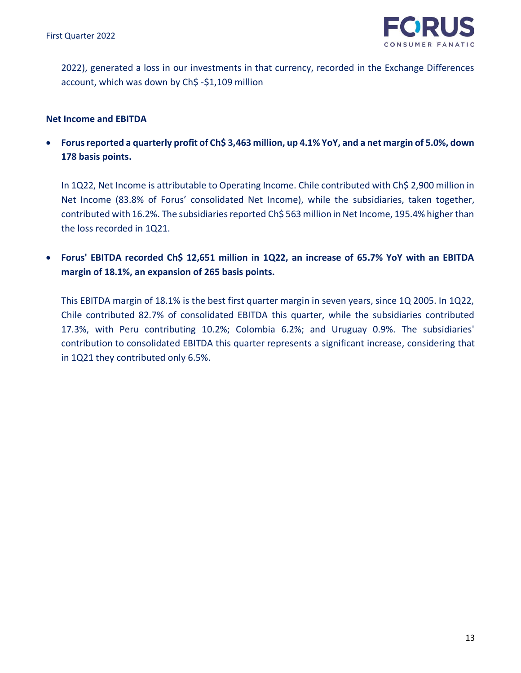

2022), generated a loss in our investments in that currency, recorded in the Exchange Differences account, which was down by Ch\$ -\$1,109 million

## **Net Income and EBITDA**

• **Forus reported a quarterly profit of Ch\$ 3,463 million, up 4.1% YoY, and a net margin of 5.0%, down 178 basis points.** 

In 1Q22, Net Income is attributable to Operating Income. Chile contributed with Ch\$ 2,900 million in Net Income (83.8% of Forus' consolidated Net Income), while the subsidiaries, taken together, contributed with 16.2%. The subsidiaries reported Ch\$ 563 million in Net Income, 195.4% higher than the loss recorded in 1Q21.

• **Forus' EBITDA recorded Ch\$ 12,651 million in 1Q22, an increase of 65.7% YoY with an EBITDA margin of 18.1%, an expansion of 265 basis points.** 

This EBITDA margin of 18.1% is the best first quarter margin in seven years, since 1Q 2005. In 1Q22, Chile contributed 82.7% of consolidated EBITDA this quarter, while the subsidiaries contributed 17.3%, with Peru contributing 10.2%; Colombia 6.2%; and Uruguay 0.9%. The subsidiaries' contribution to consolidated EBITDA this quarter represents a significant increase, considering that in 1Q21 they contributed only 6.5%.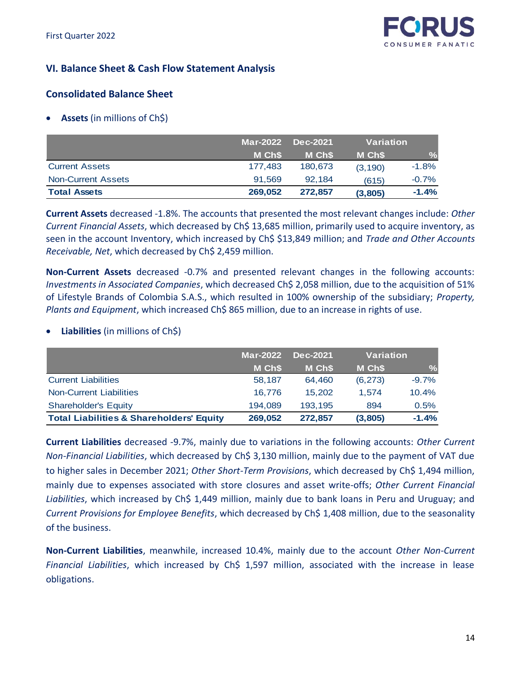

# **VI. Balance Sheet & Cash Flow Statement Analysis**

# **Consolidated Balance Sheet**

• **Assets** (in millions of Ch\$)

|                           | <b>Mar-2022</b> | Dec-2021 | Variation |               |
|---------------------------|-----------------|----------|-----------|---------------|
|                           | M Ch\$          | M Ch\$   | M Ch\$    | $\frac{9}{6}$ |
| <b>Current Assets</b>     | 177,483         | 180.673  | (3, 190)  | $-1.8%$       |
| <b>Non-Current Assets</b> | 91.569          | 92.184   | (615)     | $-0.7%$       |
| <b>Total Assets</b>       | 269.052         | 272.857  | (3,805)   | $-1.4%$       |

**Current Assets** decreased -1.8%. The accounts that presented the most relevant changes include: *Other Current Financial Assets*, which decreased by Ch\$ 13,685 million, primarily used to acquire inventory, as seen in the account Inventory, which increased by Ch\$ \$13,849 million; and *Trade and Other Accounts Receivable, Net*, which decreased by Ch\$ 2,459 million.

**Non-Current Assets** decreased -0.7% and presented relevant changes in the following accounts: *Investments in Associated Companies*, which decreased Ch\$ 2,058 million, due to the acquisition of 51% of Lifestyle Brands of Colombia S.A.S., which resulted in 100% ownership of the subsidiary; *Property, Plants and Equipment*, which increased Ch\$ 865 million, due to an increase in rights of use.

|                                                     | <b>Mar-2022</b> | Dec-2021 | <b>Variation</b> |               |  |
|-----------------------------------------------------|-----------------|----------|------------------|---------------|--|
|                                                     | M Ch\$          | M Ch\$   | M Ch\$           | $\frac{9}{6}$ |  |
| <b>Current Liabilities</b>                          | 58,187          | 64,460   | (6, 273)         | $-9.7%$       |  |
| <b>Non-Current Liabilities</b>                      | 16,776          | 15.202   | 1.574            | 10.4%         |  |
| <b>Shareholder's Equity</b>                         | 194.089         | 193,195  | 894              | 0.5%          |  |
| <b>Total Liabilities &amp; Shareholders' Equity</b> | 269.052         | 272,857  | (3,805)          | $-1.4%$       |  |

• **Liabilities** (in millions of Ch\$)

**Current Liabilities** decreased -9.7%, mainly due to variations in the following accounts: *Other Current Non-Financial Liabilities*, which decreased by Ch\$ 3,130 million, mainly due to the payment of VAT due to higher sales in December 2021; *Other Short-Term Provisions*, which decreased by Ch\$ 1,494 million, mainly due to expenses associated with store closures and asset write-offs; *Other Current Financial*  Liabilities, which increased by Ch\$ 1,449 million, mainly due to bank loans in Peru and Uruguay; and *Current Provisions for Employee Benefits*, which decreased by Ch\$ 1,408 million, due to the seasonality of the business.

**Non-Current Liabilities**, meanwhile, increased 10.4%, mainly due to the account *Other Non-Current Financial Liabilities*, which increased by Ch\$ 1,597 million, associated with the increase in lease obligations.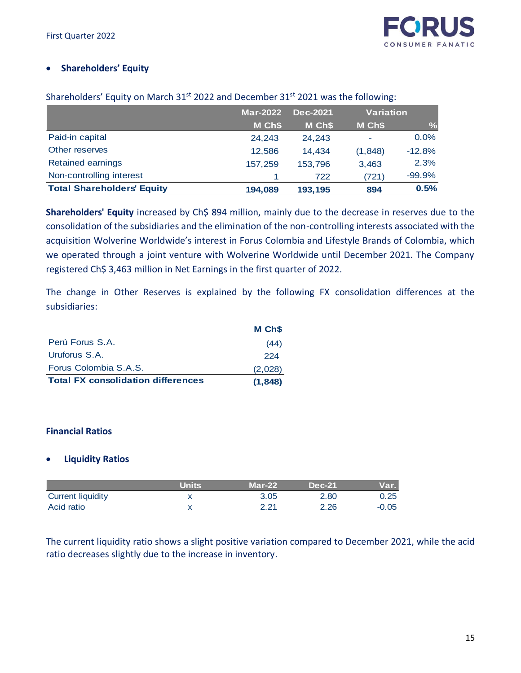# • **Shareholders' Equity**

|                                   | <b>Mar-2022</b> | Dec-2021 | <b>Variation</b> |               |
|-----------------------------------|-----------------|----------|------------------|---------------|
|                                   | M Ch\$          | M Ch\$   | M Ch\$           | $\frac{9}{6}$ |
| Paid-in capital                   | 24,243          | 24,243   |                  | 0.0%          |
| Other reserves                    | 12.586          | 14.434   | (1,848)          | $-12.8%$      |
| <b>Retained earnings</b>          | 157.259         | 153.796  | 3,463            | 2.3%          |
| Non-controlling interest          |                 | 722      | (721)            | $-99.9%$      |
| <b>Total Shareholders' Equity</b> | 194.089         | 193,195  | 894              | 0.5%          |

Shareholders' Equity on March 31<sup>st</sup> 2022 and December 31<sup>st</sup> 2021 was the following:

Shareholders' Equity increased by Ch\$ 894 million, mainly due to the decrease in reserves due to the consolidation of the subsidiaries and the elimination of the non-controlling interests associated with the acquisition Wolverine Worldwide's interest in Forus Colombia and Lifestyle Brands of Colombia, which we operated through a joint venture with Wolverine Worldwide until December 2021. The Company registered Ch\$ 3,463 million in Net Earnings in the first quarter of 2022.

The change in Other Reserves is explained by the following FX consolidation differences at the subsidiaries:

|                                           | M Ch <sub>\$</sub> |
|-------------------------------------------|--------------------|
| Perú Forus S.A.                           | (44)               |
| Uruforus S.A.                             | 224                |
| Forus Colombia S.A.S.                     | (2,028)            |
| <b>Total FX consolidation differences</b> | (1,848)            |

# **Financial Ratios**

# • **Liquidity Ratios**

|                          | <b>Units</b> | $Mar-22$ | <b>Dec-21</b> | Var. I  |
|--------------------------|--------------|----------|---------------|---------|
| <b>Current liquidity</b> |              | 3.05     | 2.80          | 0.25    |
| Acid ratio               |              | 2.21     | 2.26          | $-0.05$ |

The current liquidity ratio shows a slight positive variation compared to December 2021, while the acid ratio decreases slightly due to the increase in inventory.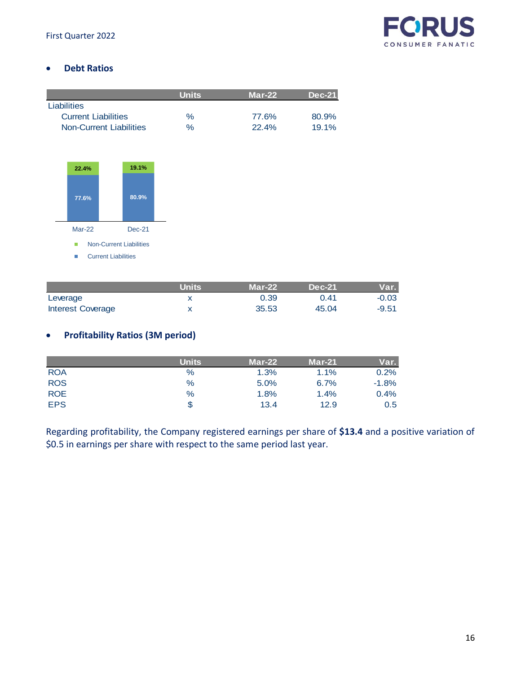

# • **Debt Ratios**

|                            | <b>Units</b> | $Mar-22$ | $Dec-21$ |
|----------------------------|--------------|----------|----------|
| Liabilities                |              |          |          |
| <b>Current Liabilities</b> | $\%$         | 77.6%    | 80.9%    |
| Non-Current Liabilities    | $\%$         | 22.4%    | $19.1\%$ |



**Units Mar-22 Dec-21 Var.** Leverage 2008 x 20.39 0.41  $\sim$  0.03 Interest Coverage X 35.53 45.04 -9.51

# • **Profitability Ratios (3M period)**

|            | <b>Units</b> | $Mar-22$ | $Mar-21$ | Var.    |
|------------|--------------|----------|----------|---------|
| <b>ROA</b> | $\%$         | 1.3%     | 1.1%     | 0.2%    |
| <b>ROS</b> | $\%$         | 5.0%     | 6.7%     | $-1.8%$ |
| <b>ROE</b> | $\%$         | 1.8%     | 1.4%     | 0.4%    |
| <b>EPS</b> | S            | 13.4     | 12.9     | 0.5     |

Regarding profitability, the Company registered earnings per share of **\$13.4** and a positive variation of \$0.5 in earnings per share with respect to the same period last year.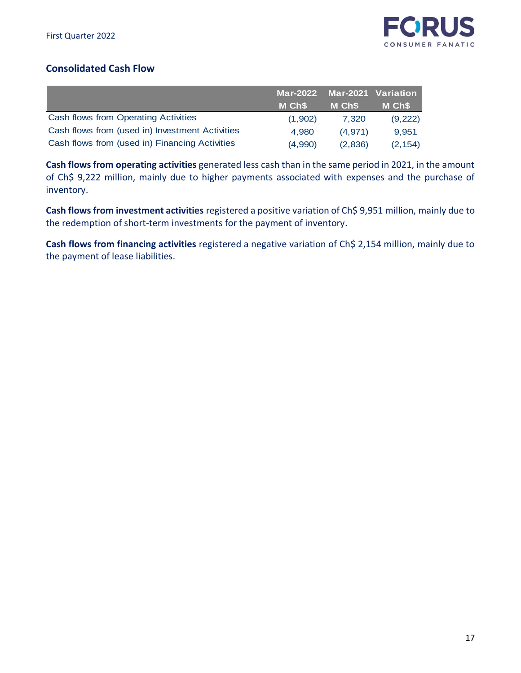

# **Consolidated Cash Flow**

|                                                 | Mar-2022 Mar-2021 Variation |                    |          |
|-------------------------------------------------|-----------------------------|--------------------|----------|
|                                                 | M Ch\$                      | M Ch <sub>\$</sub> | M Ch\$   |
| <b>Cash flows from Operating Activities</b>     | (1,902)                     | 7.320              | (9,222)  |
| Cash flows from (used in) Investment Activities | 4.980                       | (4.971)            | 9.951    |
| Cash flows from (used in) Financing Activities  | (4,990)                     | (2,836)            | (2, 154) |

**Cash flows from operating activities** generated less cash than in the same period in 2021, in the amount of Ch\$ 9,222 million, mainly due to higher payments associated with expenses and the purchase of inventory.

**Cash flows from investment activities** registered a positive variation of Ch\$ 9,951 million, mainly due to the redemption of short-term investments for the payment of inventory.

**Cash flows from financing activities** registered a negative variation of Ch\$ 2,154 million, mainly due to the payment of lease liabilities.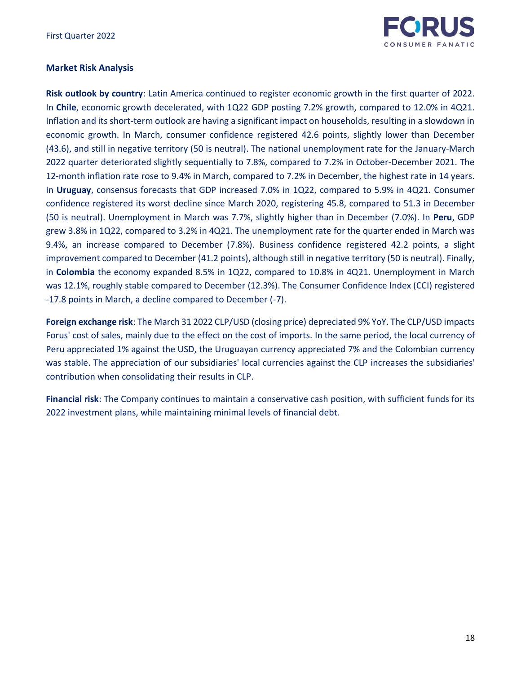

# **Market Risk Analysis**

**Risk outlook by country**: Latin America continued to register economic growth in the first quarter of 2022. In **Chile**, economic growth decelerated, with 1Q22 GDP posting 7.2% growth, compared to 12.0% in 4Q21. Inflation and its short-term outlook are having a significant impact on households, resulting in a slowdown in economic growth. In March, consumer confidence registered 42.6 points, slightly lower than December (43.6), and still in negative territory (50 is neutral). The national unemployment rate for the January-March 2022 quarter deteriorated slightly sequentially to 7.8%, compared to 7.2% in October-December 2021. The 12-month inflation rate rose to 9.4% in March, compared to 7.2% in December, the highest rate in 14 years. In **Uruguay**, consensus forecasts that GDP increased 7.0% in 1Q22, compared to 5.9% in 4Q21. Consumer confidence registered its worst decline since March 2020, registering 45.8, compared to 51.3 in December (50 is neutral). Unemployment in March was 7.7%, slightly higher than in December (7.0%). In **Peru**, GDP grew 3.8% in 1Q22, compared to 3.2% in 4Q21. The unemployment rate for the quarter ended in March was 9.4%, an increase compared to December (7.8%). Business confidence registered 42.2 points, a slight improvement compared to December (41.2 points), although still in negative territory (50 is neutral). Finally, in **Colombia** the economy expanded 8.5% in 1Q22, compared to 10.8% in 4Q21. Unemployment in March was 12.1%, roughly stable compared to December (12.3%). The Consumer Confidence Index (CCI) registered -17.8 points in March, a decline compared to December (-7).

**Foreign exchange risk**: The March 31 2022 CLP/USD (closing price) depreciated 9% YoY. The CLP/USD impacts Forus' cost of sales, mainly due to the effect on the cost of imports. In the same period, the local currency of Peru appreciated 1% against the USD, the Uruguayan currency appreciated 7% and the Colombian currency was stable. The appreciation of our subsidiaries' local currencies against the CLP increases the subsidiaries' contribution when consolidating their results in CLP.

**Financial risk**: The Company continues to maintain a conservative cash position, with sufficient funds for its 2022 investment plans, while maintaining minimal levels of financial debt.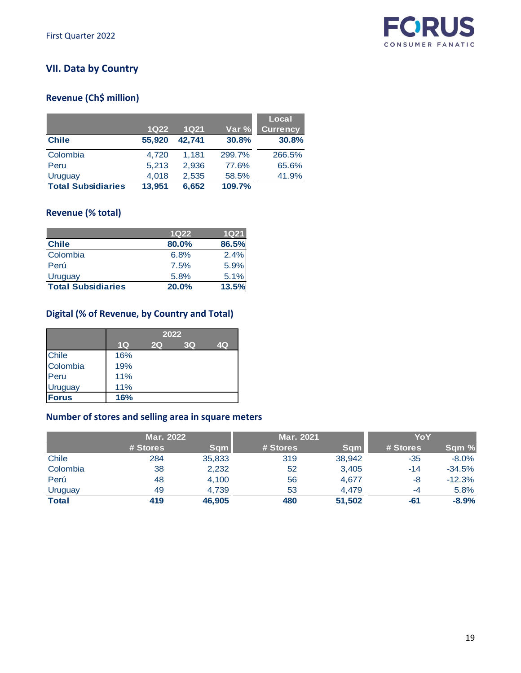

# **VII. Data by Country**

# **Revenue (Ch\$ million)**

|                           |        |             |        | Local           |
|---------------------------|--------|-------------|--------|-----------------|
|                           | $1Q22$ | <b>1Q21</b> | Var %  | <b>Currency</b> |
| <b>Chile</b>              | 55,920 | 42.741      | 30.8%  | 30.8%           |
| Colombia                  | 4,720  | 1,181       | 299.7% | 266.5%          |
| Peru                      | 5,213  | 2,936       | 77.6%  | 65.6%           |
| Uruguay                   | 4,018  | 2,535       | 58.5%  | 41.9%           |
| <b>Total Subsidiaries</b> | 13,951 | 6,652       | 109.7% |                 |

# **Revenue (% total)**

|                           | 1Q <sub>22</sub> | <b>1Q21</b> |
|---------------------------|------------------|-------------|
| <b>Chile</b>              | 80.0%            | 86.5%       |
| Colombia                  | 6.8%             | 2.4%        |
| Perú                      | 7.5%             | 5.9%        |
| Uruguay                   | 5.8%             | 5.1%        |
| <b>Total Subsidiaries</b> | 20.0%            | 13.5%       |

# **Digital (% of Revenue, by Country and Total)**

|                | 2022 |    |    |    |  |  |
|----------------|------|----|----|----|--|--|
|                | 1Q   | 2Q | 3Q | 4Q |  |  |
| <b>Chile</b>   | 16%  |    |    |    |  |  |
| Colombia       | 19%  |    |    |    |  |  |
| Peru           | 11%  |    |    |    |  |  |
| <b>Uruguay</b> | 11%  |    |    |    |  |  |
| <b>Forus</b>   | 16%  |    |    |    |  |  |

# **Number of stores and selling area in square meters**

|              | <b>Mar. 2022</b> |            | <b>Mar. 2021</b> |            | YoY      |          |  |
|--------------|------------------|------------|------------------|------------|----------|----------|--|
|              | # Stores         | <b>Sqm</b> | # Stores         | <b>Sqm</b> | # Stores | Sqm %    |  |
| Chile        | 284              | 35,833     | 319              | 38,942     | $-35$    | $-8.0\%$ |  |
| Colombia     | 38               | 2,232      | 52               | 3.405      | $-14$    | $-34.5%$ |  |
| Perú         | 48               | 4.100      | 56               | 4.677      | -8       | $-12.3%$ |  |
| Uruguay      | 49               | 4,739      | 53               | 4.479      | -4       | 5.8%     |  |
| <b>Total</b> | 419              | 46,905     | 480              | 51,502     | -61      | $-8.9%$  |  |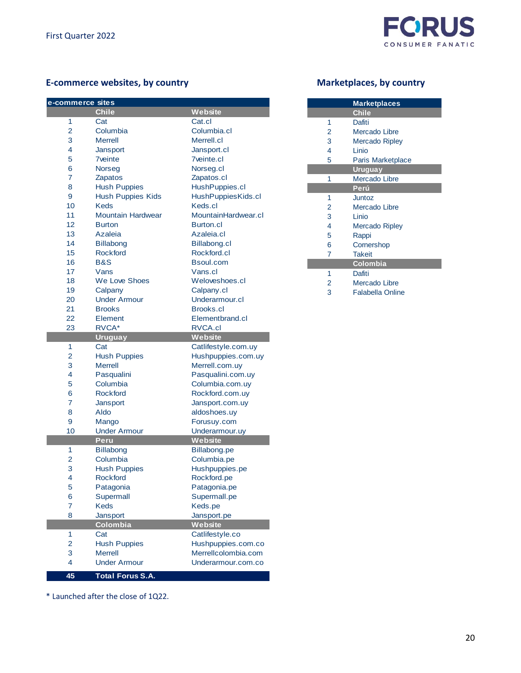

# E-commerce websites, by country **Marketplaces**, by country

| e-commerce sites |                                |                     |
|------------------|--------------------------------|---------------------|
|                  | <b>Chile</b>                   | Website             |
| 1                | Cat                            | Cat.cl              |
| $\overline{2}$   | Columbia                       | Columbia.cl         |
| 3                | <b>Merrell</b>                 | Merrell.cl          |
| 4                | Jansport                       | Jansport.cl         |
| 5                | <b>7</b> veinte                | <b>7</b> veinte.cl  |
| 6                | <b>Norseg</b>                  | Norseg.cl           |
| $\overline{7}$   | <b>Zapatos</b>                 | Zapatos.cl          |
| 8                | <b>Hush Puppies</b>            | HushPuppies.cl      |
| 9                | <b>Hush Puppies Kids</b>       | HushPuppiesKids.cl  |
| 10               | <b>Keds</b>                    | Keds.cl             |
| 11               | <b>Mountain Hardwear</b>       | MountainHardwear.cl |
| 12               | <b>Burton</b>                  | Burton.cl           |
| 13               | Azaleia                        | Azaleia.cl          |
| 14               | <b>Billabong</b>               | Billabong.cl        |
| 15               | <b>Rockford</b>                | Rockford.cl         |
| 16               | B&S                            | Bsoul.com           |
| 17               | Vans                           | Vans.cl             |
| 18               | We Love Shoes                  | Weloveshoes.cl      |
| 19               |                                | Calpany.cl          |
| 20               | Calpany<br><b>Under Armour</b> | Underarmour.cl      |
| 21               |                                | Brooks.cl           |
| 22               | <b>Brooks</b>                  |                     |
|                  | Element                        | Elementbrand.cl     |
| 23               | RVCA*<br><b>Uruguay</b>        | RVCA.cl<br>Website  |
| 1                | Cat                            | Catlifestyle.com.uy |
| $\overline{2}$   | <b>Hush Puppies</b>            | Hushpuppies.com.uy  |
| 3                | <b>Merrell</b>                 |                     |
| 4                |                                | Merrell.com.uy      |
|                  | Pasqualini                     | Pasqualini.com.uy   |
| 5                | Columbia                       | Columbia.com.uy     |
| 6<br>7           | <b>Rockford</b>                | Rockford.com.uy     |
|                  | Jansport                       | Jansport.com.uy     |
| 8                | Aldo                           | aldoshoes.uy        |
| 9                | Mango                          | Forusuy.com         |
| 10               | <b>Under Armour</b>            | Underarmour.uy      |
|                  | <b>Peru</b>                    | Website             |
| 1                | <b>Billabong</b>               | Billabong.pe        |
| $\overline{2}$   | Columbia                       | Columbia.pe         |
| 3                | <b>Hush Puppies</b>            | Hushpuppies.pe      |
| 4                | Rockford                       | Rockford.pe         |
| 5                | Patagonia                      | Patagonia.pe        |
| 6                | Supermall                      | Supermall.pe        |
| 7                | <b>Keds</b>                    | Keds.pe             |
| 8                | Jansport                       | Jansport.pe         |
|                  | Colombia                       | Website             |
| 1                | Cat                            | Catlifestyle.co     |
| $\overline{2}$   | <b>Hush Puppies</b>            | Hushpuppies.com.co  |
| 3                | <b>Merrell</b>                 | Merrellcolombia.com |
| 4                | <b>Under Armour</b>            | Underarmour.com.co  |
| 45               | <b>Total Forus S.A.</b>        |                     |

Mercado Ripley

**Marketplaces Chile**

Rappi

Cornershop

 Takeit **Colombia**

Dafiti

Linio

Dafiti

Linio

2 Mercado Libre<br>3 Mercado Ripley Mercado Ripley

 Paris Marketplace **Uruguay** Mercado Libre **Perú** Juntoz Mercado Libre

Mercado Libre

Falabella Online

\* Launched after the close of 1Q22.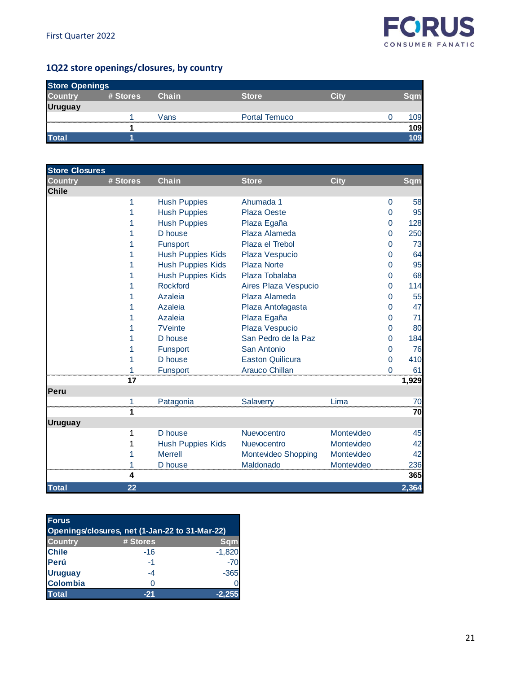

# **1Q22 store openings/closures, by country**

| <b>Store Openings</b> |          |       |                      |       |     |
|-----------------------|----------|-------|----------------------|-------|-----|
| <b>Country</b>        | # Stores | Chain | <b>Store</b>         | n Tin |     |
| <b>Uruguay</b>        |          |       |                      |       |     |
|                       |          | Vans  | <b>Portal Temuco</b> |       | 109 |
|                       |          |       |                      |       | 109 |
| <b>Total</b>          |          |       |                      |       | 09  |

| <b>Store Closures</b> |          |                          |                         |             |                |            |
|-----------------------|----------|--------------------------|-------------------------|-------------|----------------|------------|
| <b>Country</b>        | # Stores | <b>Chain</b>             | <b>Store</b>            | <b>City</b> |                | <b>Sqm</b> |
| <b>Chile</b>          |          |                          |                         |             |                |            |
|                       | 1        | <b>Hush Puppies</b>      | Ahumada 1               |             | 0              | 58         |
|                       | 1        | <b>Hush Puppies</b>      | <b>Plaza Oeste</b>      |             | $\overline{0}$ | 95         |
|                       |          | <b>Hush Puppies</b>      | Plaza Egaña             |             | 0              | 128        |
|                       |          | D house                  | Plaza Alameda           |             | 0              | 250        |
|                       |          | Funsport                 | Plaza el Trebol         |             | 0              | 73         |
|                       | 1        | <b>Hush Puppies Kids</b> | Plaza Vespucio          |             | 0              | 64         |
|                       | 1        | <b>Hush Puppies Kids</b> | Plaza Norte             |             | 0              | 95         |
|                       |          | <b>Hush Puppies Kids</b> | Plaza Tobalaba          |             | 0              | 68         |
|                       | 1        | <b>Rockford</b>          | Aires Plaza Vespucio    |             | 0              | 114        |
|                       |          | Azaleia                  | Plaza Alameda           |             | 0              | 55         |
|                       |          | Azaleia                  | Plaza Antofagasta       |             | 0              | 47         |
|                       |          | Azaleia                  | Plaza Egaña             |             | 0              | 71         |
|                       |          | <b>7Veinte</b>           | Plaza Vespucio          |             | 0              | 80         |
|                       | 1        | D house                  | San Pedro de la Paz     |             | 0              | 184        |
|                       |          | Funsport                 | San Antonio             |             | $\overline{0}$ | 76         |
|                       |          | D house                  | <b>Easton Quilicura</b> |             | $\mathbf 0$    | 410        |
|                       | 1        | Funsport                 | <b>Arauco Chillan</b>   |             | $\Omega$       | 61         |
|                       | 17       |                          |                         |             |                | 1,929      |
| Peru                  |          |                          |                         |             |                |            |
|                       | 1        | Patagonia                | Salaverry               | Lima        |                | 70         |
|                       | 1        |                          |                         |             |                | 70         |
| <b>Uruguay</b>        |          |                          |                         |             |                |            |
|                       | 1        | D house                  | Nuevocentro             | Montevideo  |                | 45         |
|                       | 1        | <b>Hush Puppies Kids</b> | Nuevocentro             | Montevideo  |                | 42         |
|                       | 1        | <b>Merrell</b>           | Montevideo Shopping     | Montevideo  |                | 42         |
|                       | 1        | D house                  | Maldonado               | Montevideo  |                | 236        |
|                       | 4        |                          |                         |             |                | 365        |
| <b>Total</b>          | 22       |                          |                         |             |                | 2,364      |

| <b>Forus</b>                                   |          |            |  |  |  |  |
|------------------------------------------------|----------|------------|--|--|--|--|
| Openings/closures, net (1-Jan-22 to 31-Mar-22) |          |            |  |  |  |  |
| <b>Country</b>                                 | # Stores | <b>Sqm</b> |  |  |  |  |
| <b>Chile</b>                                   | -16      | $-1,820$   |  |  |  |  |
| Perú                                           | -1       | $-70$      |  |  |  |  |
| <b>Uruguay</b>                                 | $-4$     | $-365$     |  |  |  |  |
| <b>Colombia</b>                                | ∩        |            |  |  |  |  |
| <b>Total</b>                                   |          | $-2,25$    |  |  |  |  |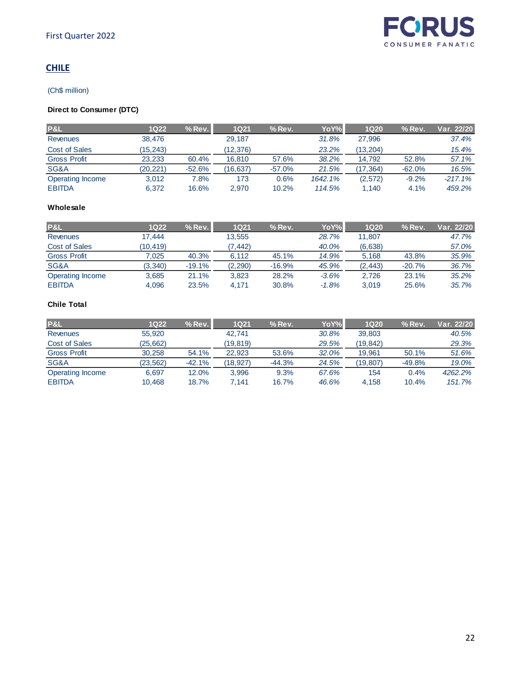# **CHILE**

#### (Ch\$ million)

# **Direct to Consumer (DTC)**

| P&L                 | 1Q22     | $%$ Rev. | <b>1Q21</b> | $%$ Rev. | YoY%    | <b>1Q20</b> | $%$ Rev. | Var. 22/20 |
|---------------------|----------|----------|-------------|----------|---------|-------------|----------|------------|
| <b>Revenues</b>     | 38.476   |          | 29,187      |          | 31.8%   | 27.996      |          | 37.4%      |
| Cost of Sales       | (15.243) |          | (12.376)    |          | 23.2%   | (13.204)    |          | 15.4%      |
| <b>Gross Profit</b> | 23.233   | 60.4%    | 16.810      | 57.6%    | 38.2%   | 14.792      | 52.8%    | 57.1%      |
| SG&A                | (20,221) | $-52.6%$ | (16.637)    | $-57.0%$ | 21.5%   | (17.364)    | $-62.0%$ | 16.5%      |
| Operating Income    | 3.012    | 7.8%     | 173         | $0.6\%$  | 1642.1% | (2,572)     | $-9.2%$  | $-217.1%$  |
| <b>EBITDA</b>       | 6.372    | 16.6%    | 2.970       | 10.2%    | 114.5%  | 1.140       | 4.1%     | 459.2%     |

#### **Wholesale**

| <b>P&amp;L</b>      | 1Q22     | $%$ Rev $1$ | <b>1Q21</b> | $%$ Rev. | YoY%    | <b>1Q20</b> | $%$ Rev. | Var. 22/20 |
|---------------------|----------|-------------|-------------|----------|---------|-------------|----------|------------|
| Revenues            | 17.444   |             | 13,555      |          | 28.7%   | 11.807      |          | 47.7%      |
| Cost of Sales       | (10.419) |             | (7.442)     |          | 40.0%   | (6,638)     |          | 57.0%      |
| <b>Gross Profit</b> | 7.025    | 40.3%       | 6.112       | 45.1%    | 14.9%   | 5.168       | 43.8%    | 35.9%      |
| SG&A                | (3, 340) | $-19.1%$    | (2, 290)    | $-16.9%$ | 45.9%   | (2, 443)    | $-20.7%$ | 36.7%      |
| Operating Income    | 3,685    | 21.1%       | 3,823       | 28.2%    | $-3.6%$ | 2.726       | 23.1%    | 35.2%      |
| <b>EBITDA</b>       | 4,096    | 23.5%       | 4.171       | 30.8%    | $-1.8%$ | 3.019       | 25.6%    | 35.7%      |

# **Chile Total**

| <b>P&amp;L</b>      | 1Q22      | $%$ Rev. | 1Q21     | $%$ Rev. | YoY%  | <b>1Q20</b> | $%$ Rev. | Var. 22/20 |
|---------------------|-----------|----------|----------|----------|-------|-------------|----------|------------|
| <b>Revenues</b>     | 55,920    |          | 42.741   |          | 30.8% | 39.803      |          | 40.5%      |
| Cost of Sales       | (25, 662) |          | (19.819) |          | 29.5% | (19.842)    |          | 29.3%      |
| <b>Gross Profit</b> | 30.258    | 54.1%    | 22.923   | 53.6%    | 32.0% | 19.961      | 50.1%    | 51.6%      |
| SG&A                | (23, 562) | $-42.1%$ | (18,927) | $-44.3%$ | 24.5% | (19,807)    | $-49.8%$ | 19.0%      |
| Operating Income    | 6.697     | 12.0%    | 3.996    | 9.3%     | 67.6% | 154         | 0.4%     | 4262.2%    |
| <b>EBITDA</b>       | 10.468    | 18.7%    | 7.141    | 16.7%    | 46.6% | 4.158       | 10.4%    | 151.7%     |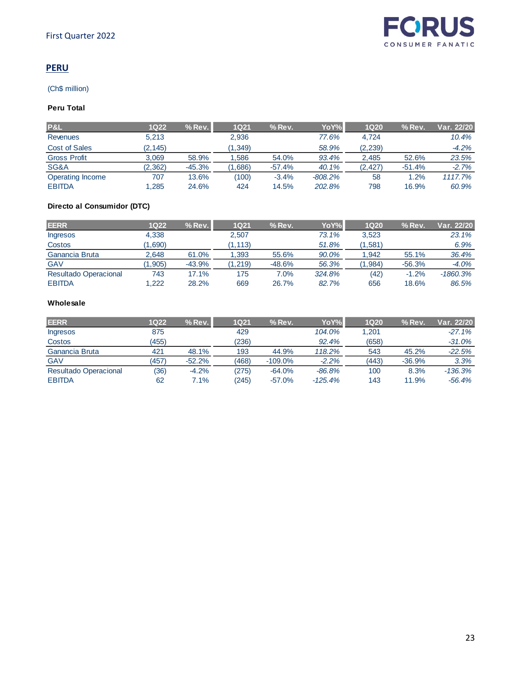# **PERU**

#### (Ch\$ million)

# **Peru Total**

| <b>P&amp;L</b>      | 1Q22     | $%$ Rev $\Box$ | <b>1Q21</b> | $%$ Rev. | YoY%      | <b>1Q20</b> | $%$ Rev. | Var. 22/20 |
|---------------------|----------|----------------|-------------|----------|-----------|-------------|----------|------------|
| <b>Revenues</b>     | 5,213    |                | 2,936       |          | 77.6%     | 4.724       |          | 10.4%      |
| Cost of Sales       | (2, 145) |                | (1, 349)    |          | 58.9%     | (2, 239)    |          | $-4.2%$    |
| <b>Gross Profit</b> | 3.069    | 58.9%          | .586        | 54.0%    | 93.4%     | 2.485       | 52.6%    | 23.5%      |
| SG&A                | (2,362)  | $-45.3%$       | .686)       | $-57.4%$ | 40.1%     | (2.427)     | $-51.4%$ | $-2.7%$    |
| Operating Income    | 707      | 13.6%          | (100)       | $-3.4%$  | $-808.2%$ | 58          | 1.2%     | 1117.7%    |
| <b>EBITDA</b>       | .285     | 24.6%          | 424         | 14.5%    | 202.8%    | 798         | 16.9%    | 60.9%      |

## **Directo al Consumidor (DTC)**

| <b>EERR</b>                  | 1Q22   | $%$ Rev. | <b>1Q21</b> | $%$ Rev. | YoY%l  | <b>1Q20</b> | $%$ Rev. | Var. 22/20 |
|------------------------------|--------|----------|-------------|----------|--------|-------------|----------|------------|
| <b>Ingresos</b>              | 4.338  |          | 2.507       |          | 73.1%  | 3.523       |          | 23.1%      |
| Costos                       | 1,690) |          | (1, 113)    |          | 51.8%  | (1,581)     |          | 6.9%       |
| Ganancia Bruta               | 2,648  | 61.0%    | .393        | 55.6%    | 90.0%  | 1.942       | 55.1%    | 36.4%      |
| <b>GAV</b>                   | 1,905) | $-43.9%$ | (1, 219)    | $-48.6%$ | 56.3%  | (1,984)     | $-56.3%$ | $-4.0%$    |
| <b>Resultado Operacional</b> | 743    | 17.1%    | 175         | $7.0\%$  | 324.8% | (42)        | $-1.2%$  | $-1860.3%$ |
| <b>EBITDA</b>                | .222   | 28.2%    | 669         | 26.7%    | 82.7%  | 656         | 18.6%    | 86.5%      |

#### **Wholesale**

| <b>EERR</b>                  | 1Q22  | $%$ Rev. | 1Q21  | $%$ Rev.  | YoY%l     | <b>1Q20</b> | $%$ Rev. | Var. 22/20 |
|------------------------------|-------|----------|-------|-----------|-----------|-------------|----------|------------|
| <b>Ingresos</b>              | 875   |          | 429   |           | 104.0%    | 1.201       |          | $-27.1%$   |
| Costos                       | (455) |          | (236) |           | 92.4%     | (658)       |          | $-31.0%$   |
| Ganancia Bruta               | 421   | 48.1%    | 193   | 44.9%     | 118.2%    | 543         | 45.2%    | $-22.5%$   |
| <b>GAV</b>                   | (457) | $-52.2%$ | (468) | $-109.0%$ | $-2.2%$   | (443)       | $-36.9%$ | 3.3%       |
| <b>Resultado Operacional</b> | (36)  | $-4.2%$  | (275) | $-64.0%$  | $-86.8%$  | 100         | 8.3%     | $-136.3%$  |
| <b>EBITDA</b>                | 62    | 7.1%     | (245) | $-57.0%$  | $-125.4%$ | 143         | 11.9%    | $-56.4%$   |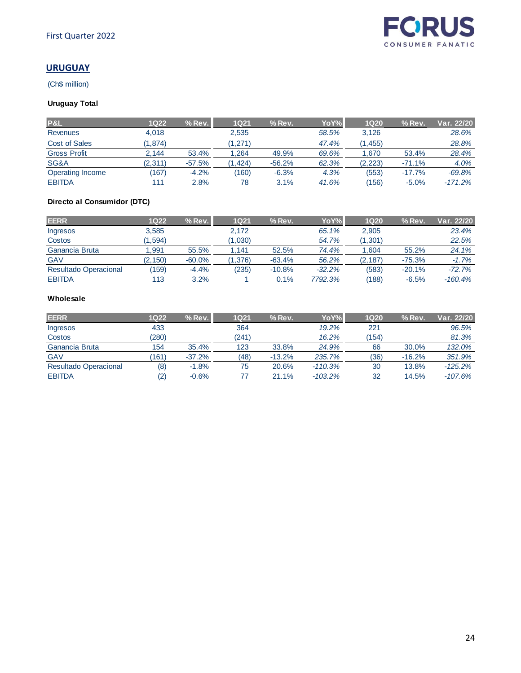# **URUGUAY**

(Ch\$ million)

# **Uruguay Total**

| P&L                     | 1Q22    | $%$ Rev. | <b>1Q21</b> | $%$ Rev. | YoY%  | <b>1Q20</b> | $%$ Rev. | Var. 22/20 |
|-------------------------|---------|----------|-------------|----------|-------|-------------|----------|------------|
| <b>Revenues</b>         | 4,018   |          | 2,535       |          | 58.5% | 3,126       |          | 28.6%      |
| Cost of Sales           | (1.874) |          | (1,271)     |          | 47.4% | (1, 455)    |          | 28.8%      |
| <b>Gross Profit</b>     | 2.144   | 53.4%    | .264        | 49.9%    | 69.6% | .670        | 53.4%    | 28.4%      |
| SG&A                    | (2,311) | $-57.5%$ | .424)       | $-56.2%$ | 62.3% | (2, 223)    | $-71.1%$ | 4.0%       |
| <b>Operating Income</b> | (167)   | $-4.2%$  | (160)       | $-6.3%$  | 4.3%  | (553)       | $-17.7%$ | $-69.8%$   |
| <b>EBITDA</b>           | 111     | 2.8%     | 78          | 3.1%     | 41.6% | (156)       | $-5.0%$  | $-171.2%$  |

# **Directo al Consumidor (DTC)**

| <b>EERR</b>                  | 1Q22     | $%$ Rev.  | <b>1Q21</b> | $%$ Rev. | YoY%     | <b>1Q20</b> | $%$ Rev. | Var. 22/20 |
|------------------------------|----------|-----------|-------------|----------|----------|-------------|----------|------------|
| Ingresos                     | 3,585    |           | 2,172       |          | 65.1%    | 2,905       |          | 23.4%      |
| Costos                       | (1.594)  |           | (1,030)     |          | 54.7%    | (1, 301)    |          | 22.5%      |
| Ganancia Bruta               | 1.991    | 55.5%     | , 141       | 52.5%    | 74.4%    | 1.604       | 55.2%    | 24.1%      |
| <b>GAV</b>                   | (2, 150) | $-60.0\%$ | (1, 376)    | $-63.4%$ | 56.2%    | (2, 187)    | $-75.3%$ | $-1.7%$    |
| <b>Resultado Operacional</b> | 159)     | $-4.4%$   | (235)       | $-10.8%$ | $-32.2%$ | (583)       | $-20.1%$ | $-72.7%$   |
| <b>EBITDA</b>                | 113      | 3.2%      |             | 0.1%     | 7792.3%  | (188)       | $-6.5%$  | $-160.4%$  |

#### **Wholesale**

| <b>EERR</b>                  | 1Q22  | $%$ Rev. | <b>1Q21</b> | $%$ Rev. | YoY%l     | <b>1Q20</b> | $%$ Rev. | Var. 22/20 l |
|------------------------------|-------|----------|-------------|----------|-----------|-------------|----------|--------------|
| <b>Ingresos</b>              | 433   |          | 364         |          | 19.2%     | 221         |          | 96.5%        |
| Costos                       | (280) |          | (241)       |          | 16.2%     | (154)       |          | 81.3%        |
| Ganancia Bruta               | 154   | 35.4%    | 123         | 33.8%    | 24.9%     | 66          | 30.0%    | 132.0%       |
| <b>GAV</b>                   | (161) | $-37.2%$ | (48)        | $-13.2%$ | 235.7%    | (36)        | $-16.2%$ | 351.9%       |
| <b>Resultado Operacional</b> | (8)   | $-1.8%$  | 75          | 20.6%    | $-110.3%$ | 30          | 13.8%    | $-125.2\%$   |
| <b>EBITDA</b>                | (2)   | $-0.6%$  | 77          | 21.1%    | $-103.2%$ | 32          | 14.5%    | $-107.6%$    |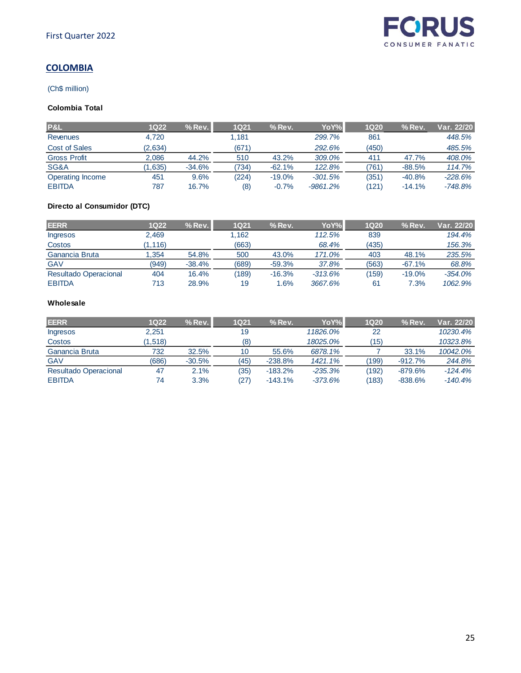

# **COLOMBIA**

#### (Ch\$ million)

# **Colombia Total**

| <b>P&amp;L</b>      | 1Q22    | $%$ Rev. | <b>1Q21</b> | $%$ Rev. | YoY%       | <b>1Q20</b> | $%$ Rev. | Var. 22/20 |
|---------------------|---------|----------|-------------|----------|------------|-------------|----------|------------|
| <b>Revenues</b>     | 4,720   |          | .181        |          | 299.7%     | 861         |          | 448.5%     |
| Cost of Sales       | (2,634) |          | (671)       |          | 292.6%     | (450)       |          | 485.5%     |
| <b>Gross Profit</b> | 2,086   | 44.2%    | 510         | 43.2%    | 309.0%     | 411         | 47.7%    | 408.0%     |
| SG&A                | 1,635)  | $-34.6%$ | (734)       | $-62.1%$ | 122.8%     | (761)       | $-88.5%$ | 114.7%     |
| Operating Income    | 451     | 9.6%     | (224)       | $-19.0%$ | $-301.5%$  | (351)       | $-40.8%$ | $-228.6%$  |
| <b>EBITDA</b>       | 787     | 16.7%    | (8)         | $-0.7%$  | $-9861.2%$ | (121)       | $-14.1%$ | $-748.8%$  |

## **Directo al Consumidor (DTC)**

| <b>EERR</b>                  | 1Q22     | $%$ Rev. | <b>1Q21</b> | $%$ Rev. | YoY%l     | <b>1Q20</b> | $%$ Rev. | Var. 22/20 |
|------------------------------|----------|----------|-------------|----------|-----------|-------------|----------|------------|
| Ingresos                     | 2.469    |          | 1.162       |          | 112.5%    | 839         |          | 194.4%     |
| Costos                       | (1, 116) |          | (663)       |          | 68.4%     | (435)       |          | 156.3%     |
| Ganancia Bruta               | .354     | 54.8%    | 500         | 43.0%    | 171.0%    | 403         | 48.1%    | 235.5%     |
| <b>GAV</b>                   | (949)    | $-38.4%$ | (689)       | $-59.3%$ | 37.8%     | (563)       | $-67.1%$ | 68.8%      |
| <b>Resultado Operacional</b> | 404      | 16.4%    | (189)       | $-16.3%$ | $-313.6%$ | (159)       | $-19.0%$ | $-354.0%$  |
| <b>EBITDA</b>                | 713      | 28.9%    | 19          | .6%      | 3667.6%   | 61          | 7.3%     | 1062.9%    |

#### **Wholesale**

| <b>EERR</b>                  | 1Q22     | $%$ Rev $\Box$ | <b>1Q21</b> | $%$ Rev.  | YoY%l     | <b>1Q20</b> | $%$ Rev.  | Var. 22/20 |
|------------------------------|----------|----------------|-------------|-----------|-----------|-------------|-----------|------------|
| <b>Ingresos</b>              | 2.251    |                | 19          |           | 11826.0%  | 22          |           | 10230.4%   |
| Costos                       | (1, 518) |                | (8)         |           | 18025.0%  | (15)        |           | 10323.8%   |
| Ganancia Bruta               | 732      | 32.5%          | 10          | 55.6%     | 6878.1%   |             | 33.1%     | 10042.0%   |
| <b>GAV</b>                   | (686)    | $-30.5%$       | (45)        | $-238.8%$ | 1421.1%   | (199)       | $-912.7%$ | 244.8%     |
| <b>Resultado Operacional</b> | 47       | 2.1%           | (35)        | $-183.2%$ | $-235.3%$ | (192)       | $-879.6%$ | $-124.4%$  |
| <b>EBITDA</b>                | 74       | 3.3%           | (27)        | $-143.1%$ | $-373.6%$ | (183)       | $-838.6%$ | $-140.4%$  |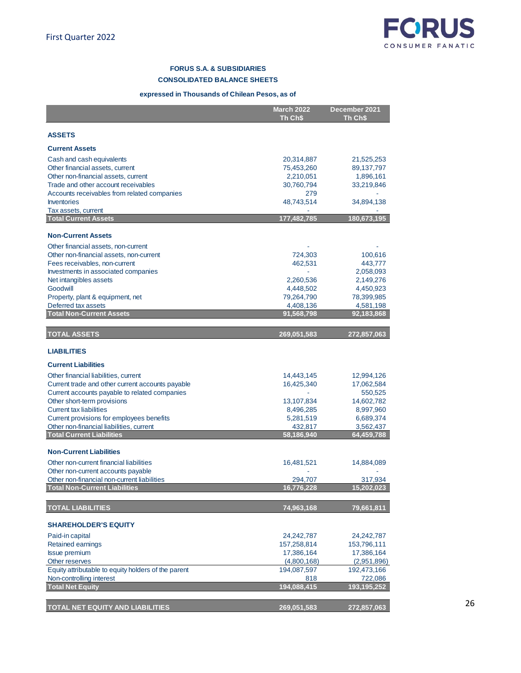

#### **FORUS S.A. & SUBSIDIARIES CONSOLIDATED BALANCE SHEETS**

#### **expressed in Thousands of Chilean Pesos, as of**

|                                                                                    | <b>March 2022</b> | December 2021        |
|------------------------------------------------------------------------------------|-------------------|----------------------|
|                                                                                    | Th Ch\$           | Th Ch\$              |
| <b>ASSETS</b>                                                                      |                   |                      |
|                                                                                    |                   |                      |
| <b>Current Assets</b>                                                              |                   |                      |
| Cash and cash equivalents                                                          | 20,314,887        | 21,525,253           |
| Other financial assets, current                                                    | 75,453,260        | 89,137,797           |
| Other non-financial assets, current                                                | 2,210,051         | 1,896,161            |
| Trade and other account receivables<br>Accounts receivables from related companies | 30,760,794<br>279 | 33,219,846           |
| <b>Inventories</b>                                                                 | 48,743,514        | 34,894,138           |
| Tax assets, current                                                                |                   |                      |
| <b>Total Current Assets</b>                                                        | 177,482,785       | 180,673,195          |
|                                                                                    |                   |                      |
| <b>Non-Current Assets</b>                                                          |                   |                      |
| Other financial assets, non-current                                                |                   |                      |
| Other non-financial assets, non-current                                            | 724,303           | 100,616              |
| Fees receivables, non-current<br>Investments in associated companies               | 462,531           | 443,777<br>2,058,093 |
| Net intangibles assets                                                             | 2,260,536         | 2,149,276            |
| Goodwill                                                                           | 4,448,502         | 4,450,923            |
| Property, plant & equipment, net                                                   | 79,264,790        | 78,399,985           |
| Deferred tax assets                                                                | 4,408,136         | 4,581,198            |
| <b>Total Non-Current Assets</b>                                                    | 91,568,798        | 92,183,868           |
|                                                                                    |                   |                      |
| <b>TOTAL ASSETS</b>                                                                | 269,051,583       | 272,857,063          |
| <b>LIABILITIES</b>                                                                 |                   |                      |
| <b>Current Liabilities</b>                                                         |                   |                      |
| Other financial liabilities, current                                               | 14,443,145        | 12,994,126           |
| Current trade and other current accounts payable                                   | 16,425,340        | 17,062,584           |
| Current accounts payable to related companies                                      |                   | 550,525              |
| Other short-term provisions                                                        | 13,107,834        | 14,602,782           |
| <b>Current tax liabilities</b>                                                     | 8,496,285         | 8,997,960            |
| Current provisions for employees benefits                                          | 5,281,519         | 6,689,374            |
| Other non-financial liabilities, current<br><b>Total Current Liabilities</b>       | 432,817           | 3,562,437            |
|                                                                                    | 58,186,940        | 64,459,788           |
| <b>Non-Current Liabilities</b>                                                     |                   |                      |
| Other non-current financial liabilities                                            | 16,481,521        | 14,884,089           |
| Other non-current accounts payable                                                 |                   |                      |
| Other non-financial non-current liabilities                                        | 294,707           | 317,934              |
| <b>Total Non-Current Liabilities</b>                                               | 16,776,228        | 15,202,023           |
| <b>TOTAL LIABILITIES</b>                                                           |                   | 79,661,811           |
|                                                                                    | 74,963,168        |                      |
| <b>SHAREHOLDER'S EQUITY</b>                                                        |                   |                      |
| Paid-in capital                                                                    | 24,242,787        | 24,242,787           |
| <b>Retained earnings</b>                                                           | 157,258,814       | 153,796,111          |
| <b>Issue premium</b>                                                               | 17,386,164        | 17,386,164           |
| Other reserves                                                                     | (4,800,168)       | (2,951,896)          |
| Equity attributable to equity holders of the parent                                | 194,087,597       | 192,473,166          |
| Non-controlling interest                                                           | 818               | 722,086              |
| <b>Total Net Equity</b>                                                            | 194,088,415       | 193, 195, 252        |
| TOTAL NET EQUITY AND LIABILITIES                                                   | 269,051,583       | 272,857,063          |

26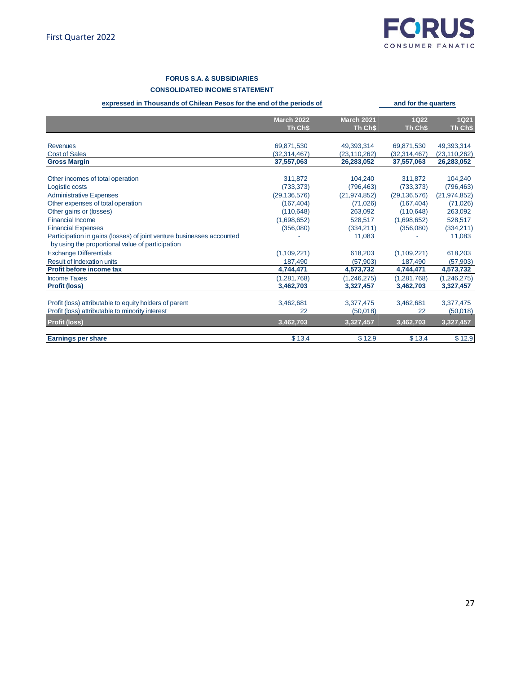

**and for the quarters** 

#### **FORUS S.A. & SUBSIDIARIES**

#### **CONSOLIDATED INCOME STATEMENT**

#### **expressed in Thousands of Chilean Pesos for the end of the periods of**

|                                                                       | <b>March 2022</b> | <b>March 2021</b> | <b>1Q22</b>    | <b>1Q21</b>    |
|-----------------------------------------------------------------------|-------------------|-------------------|----------------|----------------|
|                                                                       | Th Ch\$           | Th Ch\$           | Th Ch\$        | Th Ch\$        |
|                                                                       |                   |                   |                |                |
| <b>Revenues</b>                                                       | 69,871,530        | 49,393,314        | 69,871,530     | 49,393,314     |
| <b>Cost of Sales</b>                                                  | (32, 314, 467)    | (23, 110, 262)    | (32, 314, 467) | (23, 110, 262) |
| <b>Gross Margin</b>                                                   | 37,557,063        | 26,283,052        | 37,557,063     | 26,283,052     |
|                                                                       |                   |                   |                |                |
| Other incomes of total operation                                      | 311,872           | 104,240           | 311,872        | 104,240        |
| Logistic costs                                                        | (733, 373)        | (796, 463)        | (733, 373)     | (796, 463)     |
| <b>Administrative Expenses</b>                                        | (29, 136, 576)    | (21, 974, 852)    | (29, 136, 576) | (21, 974, 852) |
| Other expenses of total operation                                     | (167, 404)        | (71, 026)         | (167, 404)     | (71, 026)      |
| Other gains or (losses)                                               | (110, 648)        | 263,092           | (110, 648)     | 263,092        |
| <b>Financial Income</b>                                               | (1,698,652)       | 528,517           | (1,698,652)    | 528,517        |
| <b>Financial Expenses</b>                                             | (356,080)         | (334, 211)        | (356,080)      | (334, 211)     |
| Participation in gains (losses) of joint venture businesses accounted |                   | 11,083            |                | 11,083         |
| by using the proportional value of participation                      |                   |                   |                |                |
| <b>Exchange Differentials</b>                                         | (1,109,221)       | 618,203           | (1,109,221)    | 618,203        |
| <b>Result of Indexation units</b>                                     | 187,490           | (57, 903)         | 187,490        | (57,903)       |
| <b>Profit before income tax</b>                                       | 4,744,471         | 4,573,732         | 4,744,471      | 4,573,732      |
| <b>Income Taxes</b>                                                   | (1, 281, 768)     | (1, 246, 275)     | (1, 281, 768)  | (1,246,275)    |
| <b>Profit (loss)</b>                                                  | 3,462,703         | 3,327,457         | 3,462,703      | 3,327,457      |
|                                                                       |                   |                   |                |                |
| Profit (loss) attributable to equity holders of parent                | 3,462,681         | 3,377,475         | 3,462,681      | 3,377,475      |
| Profit (loss) attributable to minority interest                       | 22                | (50,018)          | 22             | (50,018)       |
| <b>Profit (loss)</b>                                                  | 3,462,703         | 3,327,457         | 3,462,703      | 3,327,457      |
|                                                                       |                   |                   |                |                |
| <b>Earnings per share</b>                                             | \$13.4            | \$12.9            | \$13.4         | \$12.9         |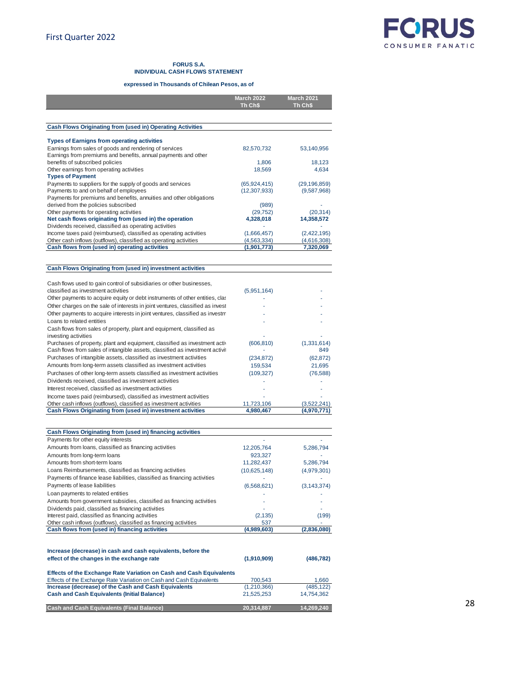

#### **FORUS S.A. INDIVIDUAL CASH FLOWS STATEMENT**

#### **expressed in Thousands of Chilean Pesos, as of**

|                                                                                                                                                                | <b>March 2022</b> | <b>March 2021</b>  |
|----------------------------------------------------------------------------------------------------------------------------------------------------------------|-------------------|--------------------|
|                                                                                                                                                                | Th Ch\$           | Th Ch\$            |
|                                                                                                                                                                |                   |                    |
| <b>Cash Flows Originating from (used in) Operating Activities</b>                                                                                              |                   |                    |
|                                                                                                                                                                |                   |                    |
| <b>Types of Earnigns from operating activities</b>                                                                                                             |                   |                    |
| Earnings from sales of goods and rendering of services                                                                                                         | 82,570,732        | 53,140,956         |
| Earnings from premiums and benefits, annual payments and other                                                                                                 |                   |                    |
| benefits of subscribed policies<br>Other earnings from operating activities                                                                                    | 1,806             | 18,123<br>4,634    |
| <b>Types of Payment</b>                                                                                                                                        | 18,569            |                    |
| Payments to suppliers for the supply of goods and services                                                                                                     | (65, 924, 415)    | (29, 196, 859)     |
| Payments to and on behalf of employees                                                                                                                         | (12, 307, 933)    | (9,587,968)        |
| Payments for premiums and benefits, annuities and other obligations                                                                                            |                   |                    |
| derived from the policies subscribed                                                                                                                           | (989)             |                    |
| Other payments for operating activities                                                                                                                        | (29, 752)         | (20, 314)          |
| Net cash flows originating from (used in) the operation                                                                                                        | 4,328,018         | 14,358,572         |
| Dividends received, classified as operating activities                                                                                                         |                   |                    |
| Income taxes paid (reimbursed), classified as operating activities                                                                                             | (1,666,457)       | (2,422,195)        |
| Other cash inflows (outflows), classified as operating activities                                                                                              | (4, 563, 334)     | (4,616,308)        |
| Cash flows from (used in) operating activities                                                                                                                 | (1,901,773)       | 7,320,069          |
|                                                                                                                                                                |                   |                    |
| Cash Flows Originating from (used in) investment activities                                                                                                    |                   |                    |
|                                                                                                                                                                |                   |                    |
| Cash flows used to gain control of subsidiaries or other businesses,                                                                                           |                   |                    |
| classified as investment activities                                                                                                                            | (5,951,164)       |                    |
| Other payments to acquire equity or debt instruments of other entities, clase                                                                                  |                   |                    |
| Other charges on the sale of interests in joint ventures, classified as invest                                                                                 |                   |                    |
| Other payments to acquire interests in joint ventures, classified as investment                                                                                |                   |                    |
| Loans to related entities                                                                                                                                      |                   |                    |
| Cash flows from sales of property, plant and equipment, classified as                                                                                          |                   |                    |
| investing activities                                                                                                                                           |                   |                    |
| Purchases of property, plant and equipment, classified as investment actively<br>Cash flows from sales of intangible assets, classified as investment activity | (606, 810)        | (1,331,614)<br>849 |
| Purchases of intangible assets, classified as investment activities                                                                                            | (234, 872)        | (62, 872)          |
| Amounts from long-term assets classified as investment activities                                                                                              | 159,534           | 21,695             |
| Purchases of other long-term assets classified as investment activities                                                                                        | (109, 327)        | (76, 588)          |
| Dividends received, classified as investment activities                                                                                                        |                   |                    |
| Interest received, classified as investment activities                                                                                                         |                   |                    |
| Income taxes paid (reimbursed), classified as investment activities                                                                                            |                   |                    |
| Other cash inflows (outflows), classified as investment activities                                                                                             | 11,723,106        | (3,522,241)        |
| Cash Flows Originating from (used in) investment activities                                                                                                    | 4,980,467         | (4,970,771)        |
|                                                                                                                                                                |                   |                    |
|                                                                                                                                                                |                   |                    |
| Cash Flows Originating from (used in) financing activities                                                                                                     |                   |                    |
| Payments for other equity interests                                                                                                                            |                   |                    |
| Amounts from loans, classified as financing activities                                                                                                         | 12,205,764        | 5,286,794          |
| Amounts from long-term loans<br>Amounts from short-term loans                                                                                                  | 923,327           |                    |
|                                                                                                                                                                | 11,282,437        | 5,286,794          |
| Loans Reimbursements, classified as financing activities                                                                                                       | (10,625,148)      | (4,979,301)        |
| Payments of finance lease liabilities, classified as financing activities<br>Payments of lease liabilities                                                     |                   |                    |
|                                                                                                                                                                | (6, 568, 621)     | (3, 143, 374)      |
| Loan payments to related entities                                                                                                                              |                   |                    |
| Amounts from government subsidies, classified as financing activities                                                                                          |                   |                    |
| Dividends paid, classified as financing activities                                                                                                             |                   |                    |
| Interest paid, classified as financing activities<br>Other cash inflows (outflows), classified as financing activities                                         | (2, 135)<br>537   | (199)              |
| Cash flows from (used in) financing activities                                                                                                                 | (4,989,603)       | (2,836,080)        |
|                                                                                                                                                                |                   |                    |

| Increase (decrease) in cash and cash equivalents, before the<br>effect of the changes in the exchange rate | (1,910,909) | (486, 782) |
|------------------------------------------------------------------------------------------------------------|-------------|------------|
| <b>Effects of the Exchange Rate Variation on Cash and Cash Equivalents</b>                                 |             |            |
| Effects of the Exchange Rate Variation on Cash and Cash Equivalents                                        | 700.543     | 1.660      |
| Increase (decrease) of the Cash and Cash Equivalents                                                       | (1,210,366) | (485, 122) |
| <b>Cash and Cash Equivalents (Initial Balance)</b>                                                         | 21.525.253  | 14,754,362 |
| <b>Cash and Cash Equivalents (Final Balance)</b>                                                           | 20.314.887  | 14.269.240 |